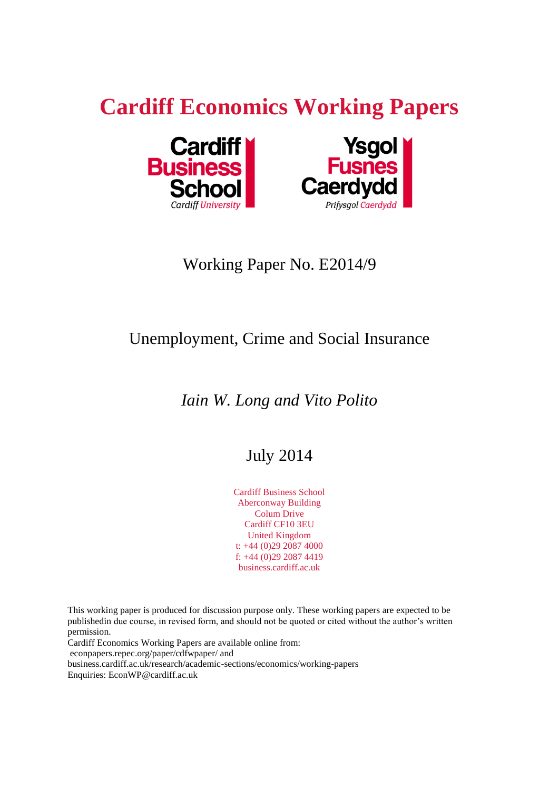# **Cardiff Economics Working Papers**





## Working Paper No. E2014/9

## Unemployment, Crime and Social Insurance

*Iain W. Long and Vito Polito*

## July 2014

Cardiff Business School Aberconway Building Colum Drive Cardiff CF10 3EU United Kingdom t: +44 (0)29 2087 4000 f: +44 (0)29 2087 4419 business.cardiff.ac.uk

This working paper is produced for discussion purpose only. These working papers are expected to be publishedin due course, in revised form, and should not be quoted or cited without the author's written permission.

Cardiff Economics Working Papers are available online from:

econpapers.repec.org/paper/cdfwpaper/ and

business.cardiff.ac.uk/research/academic-sections/economics/working-papers

Enquiries: EconWP@cardiff.ac.uk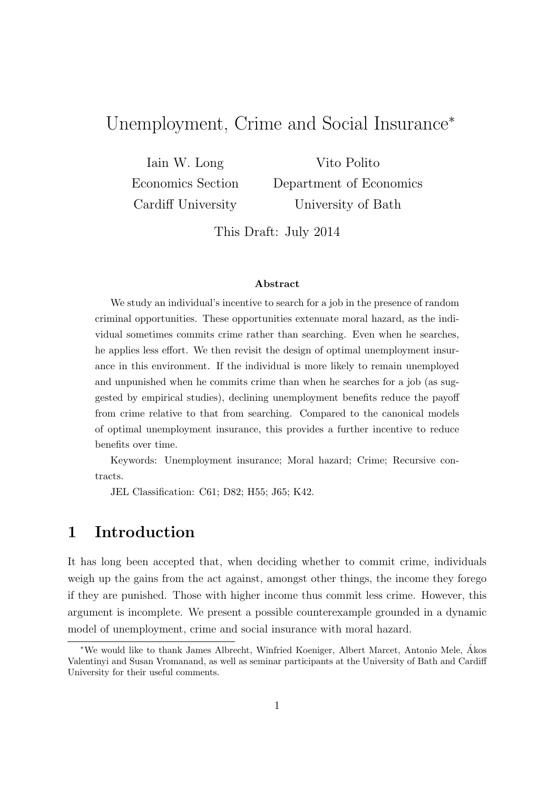## Unemployment, Crime and Social Insurance<sup>∗</sup>

Iain W. Long Economics Section Cardiff University

Vito Polito Department of Economics University of Bath

This Draft: July 2014

#### Abstract

We study an individual's incentive to search for a job in the presence of random criminal opportunities. These opportunities extenuate moral hazard, as the individual sometimes commits crime rather than searching. Even when he searches, he applies less effort. We then revisit the design of optimal unemployment insurance in this environment. If the individual is more likely to remain unemployed and unpunished when he commits crime than when he searches for a job (as suggested by empirical studies), declining unemployment benefits reduce the payoff from crime relative to that from searching. Compared to the canonical models of optimal unemployment insurance, this provides a further incentive to reduce benefits over time.

Keywords: Unemployment insurance; Moral hazard; Crime; Recursive contracts.

JEL Classification: C61; D82; H55; J65; K42.

### 1 Introduction

It has long been accepted that, when deciding whether to commit crime, individuals weigh up the gains from the act against, amongst other things, the income they forego if they are punished. Those with higher income thus commit less crime. However, this argument is incomplete. We present a possible counterexample grounded in a dynamic model of unemployment, crime and social insurance with moral hazard.

<sup>∗</sup>We would like to thank James Albrecht, Winfried Koeniger, Albert Marcet, Antonio Mele, Akos ´ Valentinyi and Susan Vromanand, as well as seminar participants at the University of Bath and Cardiff University for their useful comments.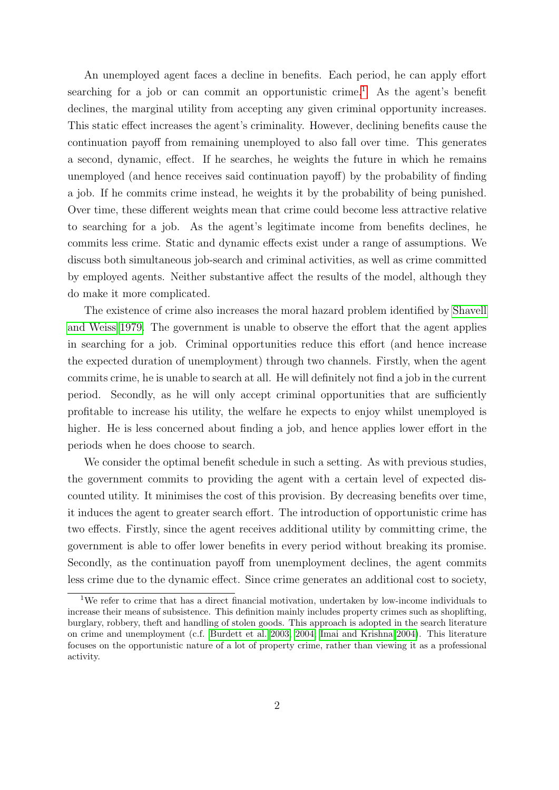An unemployed agent faces a decline in benefits. Each period, he can apply effort searching for a job or can commit an opportunistic crime.<sup>[1](#page-2-0)</sup> As the agent's benefit declines, the marginal utility from accepting any given criminal opportunity increases. This static effect increases the agent's criminality. However, declining benefits cause the continuation payoff from remaining unemployed to also fall over time. This generates a second, dynamic, effect. If he searches, he weights the future in which he remains unemployed (and hence receives said continuation payoff) by the probability of finding a job. If he commits crime instead, he weights it by the probability of being punished. Over time, these different weights mean that crime could become less attractive relative to searching for a job. As the agent's legitimate income from benefits declines, he commits less crime. Static and dynamic effects exist under a range of assumptions. We discuss both simultaneous job-search and criminal activities, as well as crime committed by employed agents. Neither substantive affect the results of the model, although they do make it more complicated.

The existence of crime also increases the moral hazard problem identified by [Shavell](#page-37-0) [and Weiss 1979.](#page-37-0) The government is unable to observe the effort that the agent applies in searching for a job. Criminal opportunities reduce this effort (and hence increase the expected duration of unemployment) through two channels. Firstly, when the agent commits crime, he is unable to search at all. He will definitely not find a job in the current period. Secondly, as he will only accept criminal opportunities that are sufficiently profitable to increase his utility, the welfare he expects to enjoy whilst unemployed is higher. He is less concerned about finding a job, and hence applies lower effort in the periods when he does choose to search.

We consider the optimal benefit schedule in such a setting. As with previous studies, the government commits to providing the agent with a certain level of expected discounted utility. It minimises the cost of this provision. By decreasing benefits over time, it induces the agent to greater search effort. The introduction of opportunistic crime has two effects. Firstly, since the agent receives additional utility by committing crime, the government is able to offer lower benefits in every period without breaking its promise. Secondly, as the continuation payoff from unemployment declines, the agent commits less crime due to the dynamic effect. Since crime generates an additional cost to society,

<span id="page-2-0"></span><sup>&</sup>lt;sup>1</sup>We refer to crime that has a direct financial motivation, undertaken by low-income individuals to increase their means of subsistence. This definition mainly includes property crimes such as shoplifting, burglary, robbery, theft and handling of stolen goods. This approach is adopted in the search literature on crime and unemployment (c.f. [Burdett et al. 2003,](#page-36-0) [2004;](#page-36-1) [Imai and Krishna 2004\)](#page-37-1). This literature focuses on the opportunistic nature of a lot of property crime, rather than viewing it as a professional activity.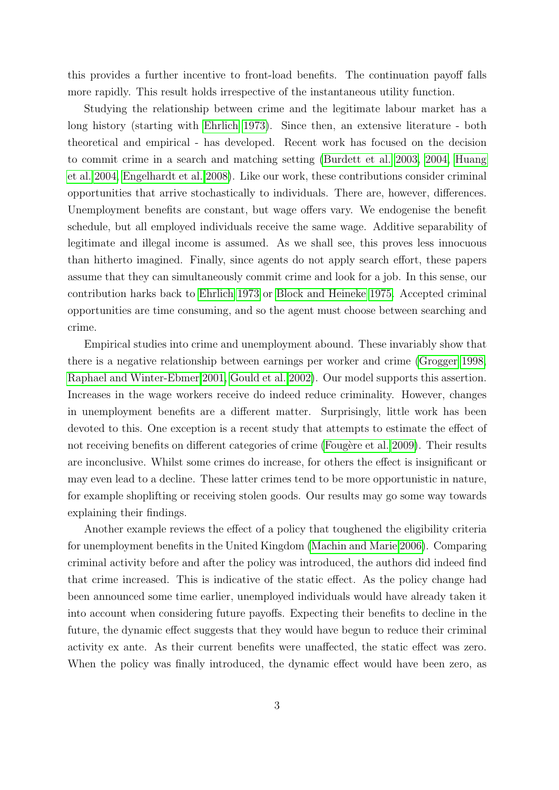this provides a further incentive to front-load benefits. The continuation payoff falls more rapidly. This result holds irrespective of the instantaneous utility function.

Studying the relationship between crime and the legitimate labour market has a long history (starting with [Ehrlich 1973\)](#page-36-2). Since then, an extensive literature - both theoretical and empirical - has developed. Recent work has focused on the decision to commit crime in a search and matching setting [\(Burdett et al. 2003,](#page-36-0) [2004,](#page-36-1) [Huang](#page-37-2) [et al. 2004,](#page-37-2) [Engelhardt et al. 2008\)](#page-36-3). Like our work, these contributions consider criminal opportunities that arrive stochastically to individuals. There are, however, differences. Unemployment benefits are constant, but wage offers vary. We endogenise the benefit schedule, but all employed individuals receive the same wage. Additive separability of legitimate and illegal income is assumed. As we shall see, this proves less innocuous than hitherto imagined. Finally, since agents do not apply search effort, these papers assume that they can simultaneously commit crime and look for a job. In this sense, our contribution harks back to [Ehrlich 1973](#page-36-2) or [Block and Heineke 1975.](#page-36-4) Accepted criminal opportunities are time consuming, and so the agent must choose between searching and crime.

Empirical studies into crime and unemployment abound. These invariably show that there is a negative relationship between earnings per worker and crime [\(Grogger 1998,](#page-37-3) [Raphael and Winter-Ebmer 2001,](#page-37-4) [Gould et al. 2002\)](#page-36-5). Our model supports this assertion. Increases in the wage workers receive do indeed reduce criminality. However, changes in unemployment benefits are a different matter. Surprisingly, little work has been devoted to this. One exception is a recent study that attempts to estimate the effect of not receiving benefits on different categories of crime (Fougère et al. 2009). Their results are inconclusive. Whilst some crimes do increase, for others the effect is insignificant or may even lead to a decline. These latter crimes tend to be more opportunistic in nature, for example shoplifting or receiving stolen goods. Our results may go some way towards explaining their findings.

Another example reviews the effect of a policy that toughened the eligibility criteria for unemployment benefits in the United Kingdom [\(Machin and Marie 2006\)](#page-37-5). Comparing criminal activity before and after the policy was introduced, the authors did indeed find that crime increased. This is indicative of the static effect. As the policy change had been announced some time earlier, unemployed individuals would have already taken it into account when considering future payoffs. Expecting their benefits to decline in the future, the dynamic effect suggests that they would have begun to reduce their criminal activity ex ante. As their current benefits were unaffected, the static effect was zero. When the policy was finally introduced, the dynamic effect would have been zero, as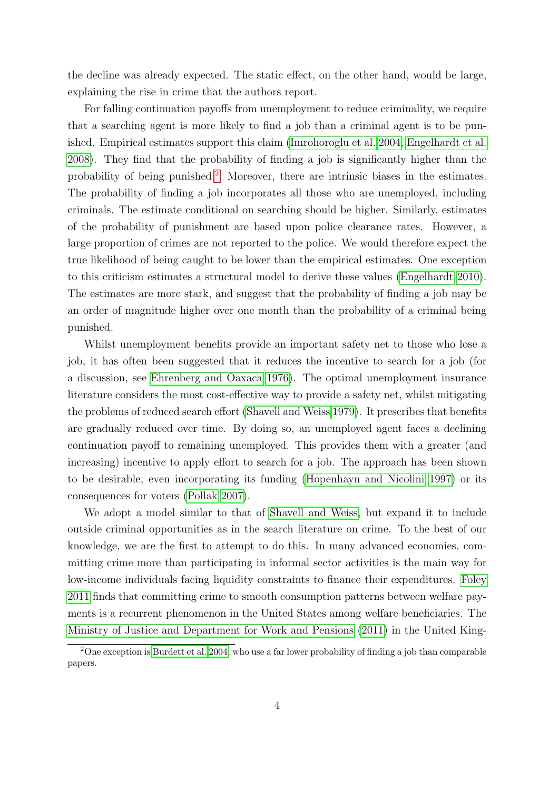the decline was already expected. The static effect, on the other hand, would be large, explaining the rise in crime that the authors report.

For falling continuation payoffs from unemployment to reduce criminality, we require that a searching agent is more likely to find a job than a criminal agent is to be punished. Empirical estimates support this claim [\(Imrohoroglu et al. 2004,](#page-37-6) [Engelhardt et al.](#page-36-3) [2008\)](#page-36-3). They find that the probability of finding a job is significantly higher than the probability of being punished.[2](#page-4-0) Moreover, there are intrinsic biases in the estimates. The probability of finding a job incorporates all those who are unemployed, including criminals. The estimate conditional on searching should be higher. Similarly, estimates of the probability of punishment are based upon police clearance rates. However, a large proportion of crimes are not reported to the police. We would therefore expect the true likelihood of being caught to be lower than the empirical estimates. One exception to this criticism estimates a structural model to derive these values [\(Engelhardt 2010\)](#page-36-7). The estimates are more stark, and suggest that the probability of finding a job may be an order of magnitude higher over one month than the probability of a criminal being punished.

Whilst unemployment benefits provide an important safety net to those who lose a job, it has often been suggested that it reduces the incentive to search for a job (for a discussion, see [Ehrenberg and Oaxaca 1976\)](#page-36-8). The optimal unemployment insurance literature considers the most cost-effective way to provide a safety net, whilst mitigating the problems of reduced search effort [\(Shavell and Weiss 1979\)](#page-37-0). It prescribes that benefits are gradually reduced over time. By doing so, an unemployed agent faces a declining continuation payoff to remaining unemployed. This provides them with a greater (and increasing) incentive to apply effort to search for a job. The approach has been shown to be desirable, even incorporating its funding [\(Hopenhayn and Nicolini 1997\)](#page-37-7) or its consequences for voters [\(Pollak 2007\)](#page-37-8).

We adopt a model similar to that of [Shavell and Weiss,](#page-37-0) but expand it to include outside criminal opportunities as in the search literature on crime. To the best of our knowledge, we are the first to attempt to do this. In many advanced economies, committing crime more than participating in informal sector activities is the main way for low-income individuals facing liquidity constraints to finance their expenditures. [Foley](#page-36-9) [2011](#page-36-9) finds that committing crime to smooth consumption patterns between welfare payments is a recurrent phenomenon in the United States among welfare beneficiaries. The [Ministry of Justice and Department for Work and Pensions](#page-37-9) [\(2011\)](#page-37-9) in the United King-

<span id="page-4-0"></span><sup>2</sup>One exception is [Burdett et al. 2004,](#page-36-1) who use a far lower probability of finding a job than comparable papers.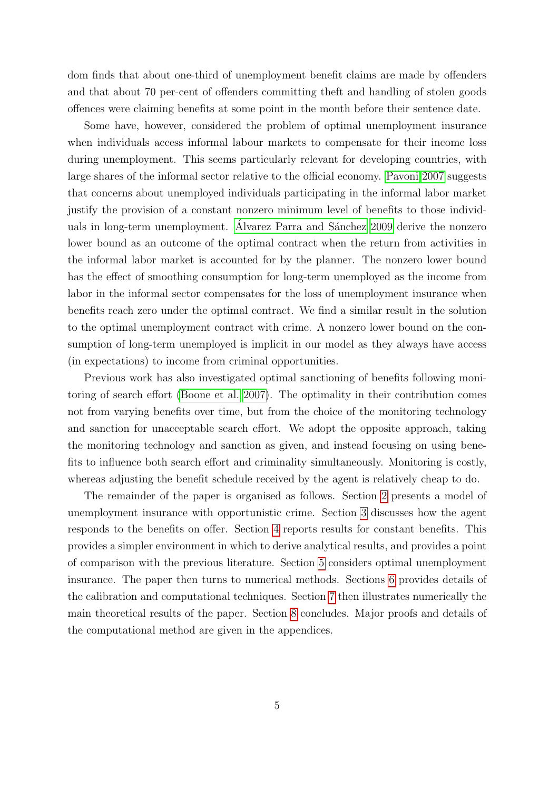dom finds that about one-third of unemployment benefit claims are made by offenders and that about 70 per-cent of offenders committing theft and handling of stolen goods offences were claiming benefits at some point in the month before their sentence date.

Some have, however, considered the problem of optimal unemployment insurance when individuals access informal labour markets to compensate for their income loss during unemployment. This seems particularly relevant for developing countries, with large shares of the informal sector relative to the official economy. [Pavoni 2007](#page-37-10) suggests that concerns about unemployed individuals participating in the informal labor market justify the provision of a constant nonzero minimum level of benefits to those individuals in long-term unemployment. Alvarez Parra and Sánchez 2009 derive the nonzero lower bound as an outcome of the optimal contract when the return from activities in the informal labor market is accounted for by the planner. The nonzero lower bound has the effect of smoothing consumption for long-term unemployed as the income from labor in the informal sector compensates for the loss of unemployment insurance when benefits reach zero under the optimal contract. We find a similar result in the solution to the optimal unemployment contract with crime. A nonzero lower bound on the consumption of long-term unemployed is implicit in our model as they always have access (in expectations) to income from criminal opportunities.

Previous work has also investigated optimal sanctioning of benefits following monitoring of search effort [\(Boone et al. 2007\)](#page-36-10). The optimality in their contribution comes not from varying benefits over time, but from the choice of the monitoring technology and sanction for unacceptable search effort. We adopt the opposite approach, taking the monitoring technology and sanction as given, and instead focusing on using benefits to influence both search effort and criminality simultaneously. Monitoring is costly, whereas adjusting the benefit schedule received by the agent is relatively cheap to do.

The remainder of the paper is organised as follows. Section [2](#page-6-0) presents a model of unemployment insurance with opportunistic crime. Section [3](#page-8-0) discusses how the agent responds to the benefits on offer. Section [4](#page-12-0) reports results for constant benefits. This provides a simpler environment in which to derive analytical results, and provides a point of comparison with the previous literature. Section [5](#page-14-0) considers optimal unemployment insurance. The paper then turns to numerical methods. Sections [6](#page-17-0) provides details of the calibration and computational techniques. Section [7](#page-20-0) then illustrates numerically the main theoretical results of the paper. Section [8](#page-29-0) concludes. Major proofs and details of the computational method are given in the appendices.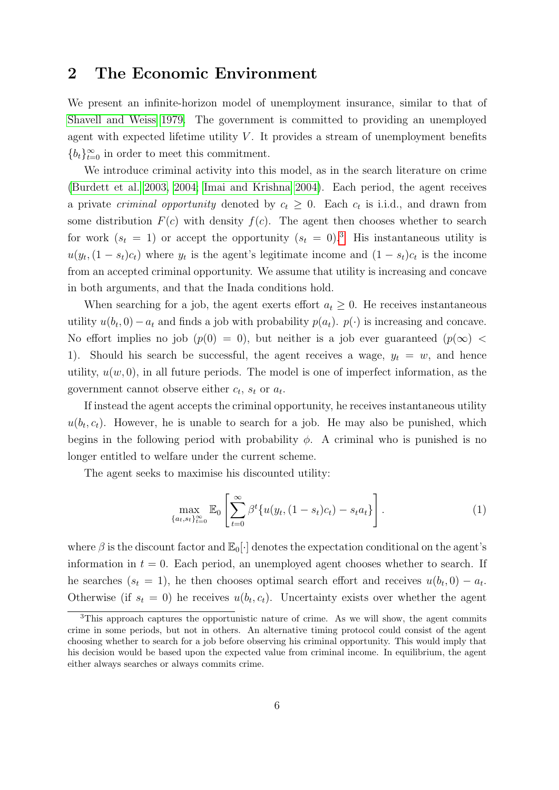### <span id="page-6-0"></span>2 The Economic Environment

We present an infinite-horizon model of unemployment insurance, similar to that of [Shavell and Weiss 1979.](#page-37-0) The government is committed to providing an unemployed agent with expected lifetime utility  $V$ . It provides a stream of unemployment benefits  ${b_t}_{t=0}^{\infty}$  in order to meet this commitment.

We introduce criminal activity into this model, as in the search literature on crime [\(Burdett et al. 2003,](#page-36-0) [2004;](#page-36-1) [Imai and Krishna 2004\)](#page-37-1). Each period, the agent receives a private *criminal opportunity* denoted by  $c_t \geq 0$ . Each  $c_t$  is i.i.d., and drawn from some distribution  $F(c)$  with density  $f(c)$ . The agent then chooses whether to search for work  $(s_t = 1)$  or accept the opportunity  $(s_t = 0)$ .<sup>[3](#page-6-1)</sup> His instantaneous utility is  $u(y_t, (1-s_t)c_t)$  where  $y_t$  is the agent's legitimate income and  $(1-s_t)c_t$  is the income from an accepted criminal opportunity. We assume that utility is increasing and concave in both arguments, and that the Inada conditions hold.

When searching for a job, the agent exerts effort  $a_t \geq 0$ . He receives instantaneous utility  $u(b_t, 0) - a_t$  and finds a job with probability  $p(a_t)$ .  $p(\cdot)$  is increasing and concave. No effort implies no job  $(p(0) = 0)$ , but neither is a job ever guaranteed  $(p(\infty) <$ 1). Should his search be successful, the agent receives a wage,  $y_t = w$ , and hence utility,  $u(w, 0)$ , in all future periods. The model is one of imperfect information, as the government cannot observe either  $c_t$ ,  $s_t$  or  $a_t$ .

If instead the agent accepts the criminal opportunity, he receives instantaneous utility  $u(b_t, c_t)$ . However, he is unable to search for a job. He may also be punished, which begins in the following period with probability  $\phi$ . A criminal who is punished is no longer entitled to welfare under the current scheme.

The agent seeks to maximise his discounted utility:

<span id="page-6-2"></span>
$$
\max_{\{a_t, s_t\}_{t=0}^{\infty}} \mathbb{E}_0 \left[ \sum_{t=0}^{\infty} \beta^t \{ u(y_t, (1-s_t)c_t) - s_t a_t \} \right].
$$
 (1)

where  $\beta$  is the discount factor and  $\mathbb{E}_0[\cdot]$  denotes the expectation conditional on the agent's information in  $t = 0$ . Each period, an unemployed agent chooses whether to search. If he searches  $(s_t = 1)$ , he then chooses optimal search effort and receives  $u(b_t, 0) - a_t$ . Otherwise (if  $s_t = 0$ ) he receives  $u(b_t, c_t)$ . Uncertainty exists over whether the agent

<span id="page-6-1"></span><sup>&</sup>lt;sup>3</sup>This approach captures the opportunistic nature of crime. As we will show, the agent commits crime in some periods, but not in others. An alternative timing protocol could consist of the agent choosing whether to search for a job before observing his criminal opportunity. This would imply that his decision would be based upon the expected value from criminal income. In equilibrium, the agent either always searches or always commits crime.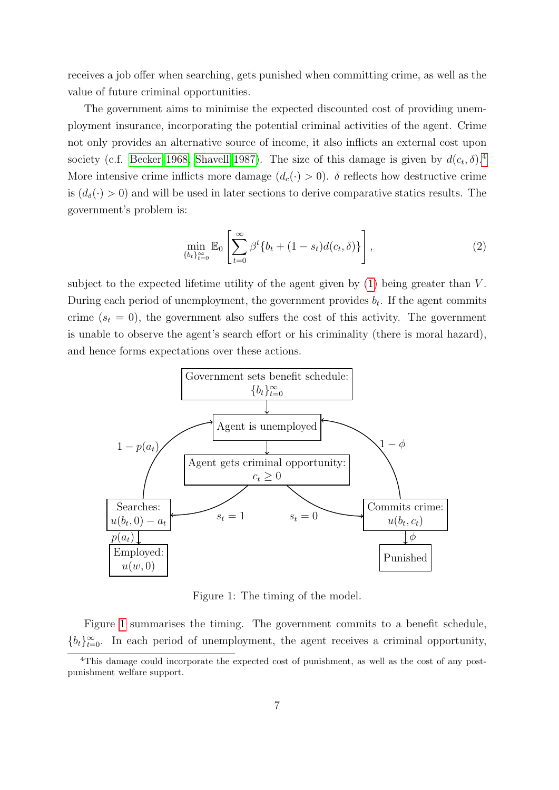receives a job offer when searching, gets punished when committing crime, as well as the value of future criminal opportunities.

The government aims to minimise the expected discounted cost of providing unemployment insurance, incorporating the potential criminal activities of the agent. Crime not only provides an alternative source of income, it also inflicts an external cost upon society (c.f. [Becker 1968,](#page-35-1) [Shavell 1987\)](#page-37-11). The size of this damage is given by  $d(c_t, \delta)$ .<sup>[4](#page-7-0)</sup> More intensive crime inflicts more damage  $(d_c(\cdot) > 0)$ .  $\delta$  reflects how destructive crime is  $(d_{\delta}(\cdot) > 0)$  and will be used in later sections to derive comparative statics results. The government's problem is:

<span id="page-7-2"></span>
$$
\min_{\{b_t\}_{t=0}^{\infty}} \mathbb{E}_0 \left[ \sum_{t=0}^{\infty} \beta^t \{b_t + (1 - s_t) d(c_t, \delta) \} \right],
$$
\n(2)

subject to the expected lifetime utility of the agent given by  $(1)$  being greater than V. During each period of unemployment, the government provides  $b_t$ . If the agent commits crime  $(s_t = 0)$ , the government also suffers the cost of this activity. The government is unable to observe the agent's search effort or his criminality (there is moral hazard), and hence forms expectations over these actions.



<span id="page-7-1"></span>Figure 1: The timing of the model.

Figure [1](#page-7-1) summarises the timing. The government commits to a benefit schedule,  ${b_t}_{t=0}^{\infty}$ . In each period of unemployment, the agent receives a criminal opportunity,

<span id="page-7-0"></span><sup>4</sup>This damage could incorporate the expected cost of punishment, as well as the cost of any postpunishment welfare support.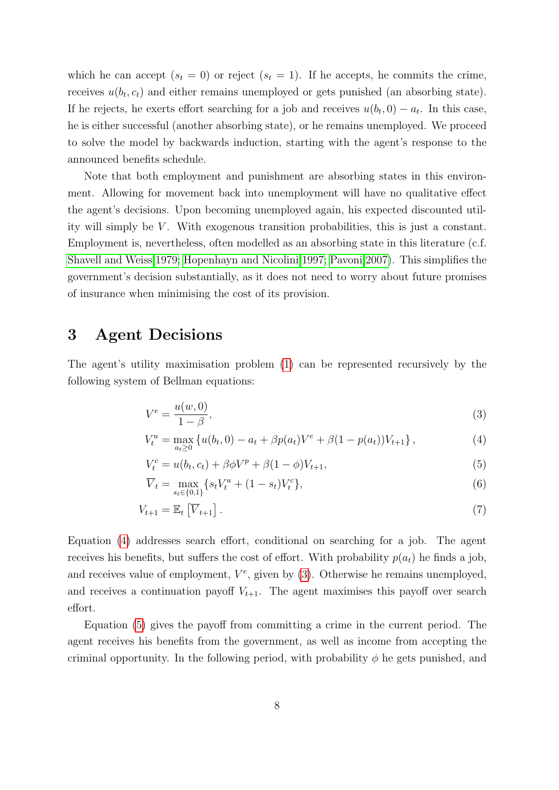which he can accept  $(s_t = 0)$  or reject  $(s_t = 1)$ . If he accepts, he commits the crime, receives  $u(b_t, c_t)$  and either remains unemployed or gets punished (an absorbing state). If he rejects, he exerts effort searching for a job and receives  $u(b_t, 0) - a_t$ . In this case, he is either successful (another absorbing state), or he remains unemployed. We proceed to solve the model by backwards induction, starting with the agent's response to the announced benefits schedule.

Note that both employment and punishment are absorbing states in this environment. Allowing for movement back into unemployment will have no qualitative effect the agent's decisions. Upon becoming unemployed again, his expected discounted utility will simply be  $V$ . With exogenous transition probabilities, this is just a constant. Employment is, nevertheless, often modelled as an absorbing state in this literature (c.f. [Shavell and Weiss 1979;](#page-37-0) [Hopenhayn and Nicolini 1997;](#page-37-7) [Pavoni 2007\)](#page-37-10). This simplifies the government's decision substantially, as it does not need to worry about future promises of insurance when minimising the cost of its provision.

#### <span id="page-8-0"></span>3 Agent Decisions

The agent's utility maximisation problem [\(1\)](#page-6-2) can be represented recursively by the following system of Bellman equations:

<span id="page-8-2"></span>
$$
V^e = \frac{u(w,0)}{1-\beta},\tag{3}
$$

<span id="page-8-1"></span>
$$
V_t^u = \max_{a_t \ge 0} \left\{ u(b_t, 0) - a_t + \beta p(a_t) V^e + \beta (1 - p(a_t)) V_{t+1} \right\},\tag{4}
$$

<span id="page-8-4"></span><span id="page-8-3"></span>
$$
V_t^c = u(b_t, c_t) + \beta \phi V^p + \beta (1 - \phi) V_{t+1},
$$
\n(5)

<span id="page-8-5"></span>
$$
\overline{V}_t = \max_{s_t \in \{0,1\}} \{ s_t V_t^u + (1 - s_t) V_t^c \},\tag{6}
$$

$$
V_{t+1} = \mathbb{E}_t \left[ \overline{V}_{t+1} \right]. \tag{7}
$$

Equation [\(4\)](#page-8-1) addresses search effort, conditional on searching for a job. The agent receives his benefits, but suffers the cost of effort. With probability  $p(a_t)$  he finds a job, and receives value of employment,  $V^e$ , given by  $(3)$ . Otherwise he remains unemployed, and receives a continuation payoff  $V_{t+1}$ . The agent maximises this payoff over search effort.

Equation [\(5\)](#page-8-3) gives the payoff from committing a crime in the current period. The agent receives his benefits from the government, as well as income from accepting the criminal opportunity. In the following period, with probability  $\phi$  he gets punished, and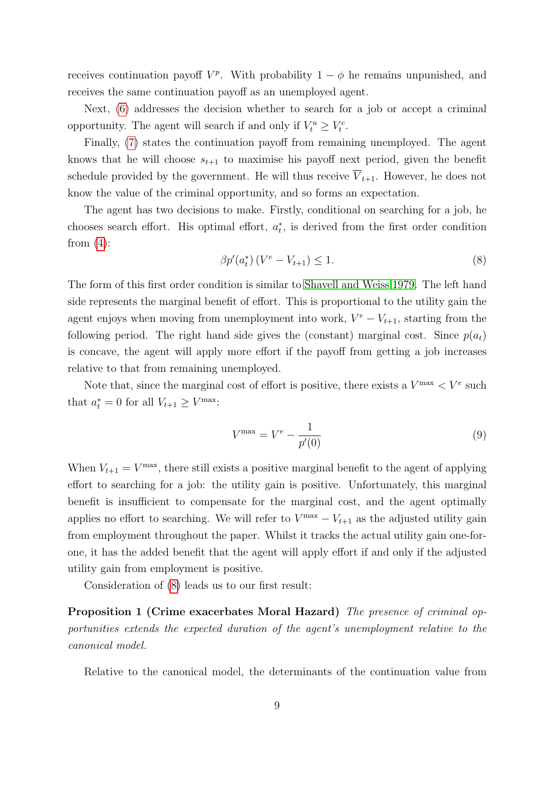receives continuation payoff  $V^p$ . With probability  $1 - \phi$  he remains unpunished, and receives the same continuation payoff as an unemployed agent.

Next, [\(6\)](#page-8-4) addresses the decision whether to search for a job or accept a criminal opportunity. The agent will search if and only if  $V_t^u \geq V_t^c$ .

Finally, [\(7\)](#page-8-5) states the continuation payoff from remaining unemployed. The agent knows that he will choose  $s_{t+1}$  to maximise his payoff next period, given the benefit schedule provided by the government. He will thus receive  $V_{t+1}$ . However, he does not know the value of the criminal opportunity, and so forms an expectation.

The agent has two decisions to make. Firstly, conditional on searching for a job, he chooses search effort. His optimal effort,  $a_t^*$ , is derived from the first order condition from  $(4)$ :

<span id="page-9-0"></span>
$$
\beta p'(a_t^*) (V^e - V_{t+1}) \le 1. \tag{8}
$$

The form of this first order condition is similar to [Shavell and Weiss 1979.](#page-37-0) The left hand side represents the marginal benefit of effort. This is proportional to the utility gain the agent enjoys when moving from unemployment into work,  $V^e - V_{t+1}$ , starting from the following period. The right hand side gives the (constant) marginal cost. Since  $p(a_t)$ is concave, the agent will apply more effort if the payoff from getting a job increases relative to that from remaining unemployed.

Note that, since the marginal cost of effort is positive, there exists a  $V^{\max} < V^e$  such that  $a_t^* = 0$  for all  $V_{t+1} \geq V^{\max}$ :

<span id="page-9-1"></span>
$$
V^{\max} = V^e - \frac{1}{p'(0)}\tag{9}
$$

When  $V_{t+1} = V^{\text{max}}$ , there still exists a positive marginal benefit to the agent of applying effort to searching for a job: the utility gain is positive. Unfortunately, this marginal benefit is insufficient to compensate for the marginal cost, and the agent optimally applies no effort to searching. We will refer to  $V^{\max} - V_{t+1}$  as the adjusted utility gain from employment throughout the paper. Whilst it tracks the actual utility gain one-forone, it has the added benefit that the agent will apply effort if and only if the adjusted utility gain from employment is positive.

Consideration of [\(8\)](#page-9-0) leads us to our first result:

<span id="page-9-2"></span>Proposition 1 (Crime exacerbates Moral Hazard) The presence of criminal opportunities extends the expected duration of the agent's unemployment relative to the canonical model.

Relative to the canonical model, the determinants of the continuation value from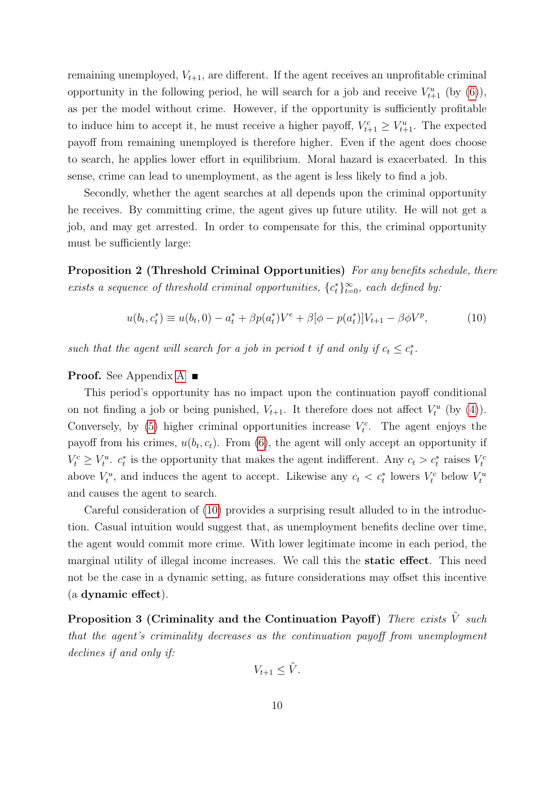remaining unemployed,  $V_{t+1}$ , are different. If the agent receives an unprofitable criminal opportunity in the following period, he will search for a job and receive  $V_{t+1}^u$  (by [\(6\)](#page-8-4)), as per the model without crime. However, if the opportunity is sufficiently profitable to induce him to accept it, he must receive a higher payoff,  $V_{t+1}^c \geq V_{t+1}^u$ . The expected payoff from remaining unemployed is therefore higher. Even if the agent does choose to search, he applies lower effort in equilibrium. Moral hazard is exacerbated. In this sense, crime can lead to unemployment, as the agent is less likely to find a job.

Secondly, whether the agent searches at all depends upon the criminal opportunity he receives. By committing crime, the agent gives up future utility. He will not get a job, and may get arrested. In order to compensate for this, the criminal opportunity must be sufficiently large:

<span id="page-10-2"></span>Proposition 2 (Threshold Criminal Opportunities) For any benefits schedule, there exists a sequence of threshold criminal opportunities,  ${c_t^*}_{t=0}^{\infty}$ , each defined by:

<span id="page-10-0"></span>
$$
u(b_t, c_t^*) \equiv u(b_t, 0) - a_t^* + \beta p(a_t^*) V^e + \beta [\phi - p(a_t^*)] V_{t+1} - \beta \phi V^p, \tag{10}
$$

such that the agent will search for a job in period t if and only if  $c_t \leq c_t^*$ .

#### **Proof.** See [A](#page-30-0)ppendix A

This period's opportunity has no impact upon the continuation payoff conditional on not finding a job or being punished,  $V_{t+1}$ . It therefore does not affect  $V_t^u$  (by [\(4\)](#page-8-1)). Conversely, by [\(5\)](#page-8-3) higher criminal opportunities increase  $V_t^c$ . The agent enjoys the payoff from his crimes,  $u(b_t, c_t)$ . From [\(6\)](#page-8-4), the agent will only accept an opportunity if  $V_t^c \geq V_t^u$ .  $c_t^*$  is the opportunity that makes the agent indifferent. Any  $c_t > c_t^*$  raises  $V_t^c$ above  $V_t^u$ , and induces the agent to accept. Likewise any  $c_t < c_t^*$  lowers  $V_t^c$  below  $V_t^u$ and causes the agent to search.

Careful consideration of [\(10\)](#page-10-0) provides a surprising result alluded to in the introduction. Casual intuition would suggest that, as unemployment benefits decline over time, the agent would commit more crime. With lower legitimate income in each period, the marginal utility of illegal income increases. We call this the static effect. This need not be the case in a dynamic setting, as future considerations may offset this incentive (a dynamic effect).

<span id="page-10-1"></span>Proposition 3 (Criminality and the Continuation Payoff) There exists  $\tilde{V}$  such that the agent's criminality decreases as the continuation payoff from unemployment declines if and only if:

 $V_{t+1} < \tilde{V}$ .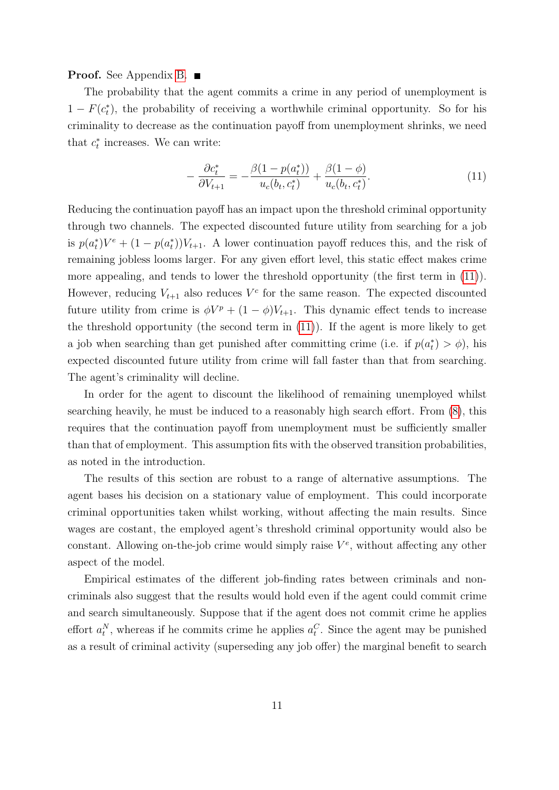#### **Proof.** See Appendix [B.](#page-30-1) ■

The probability that the agent commits a crime in any period of unemployment is  $1 - F(c<sub>t</sub><sup>*</sup>)$ , the probability of receiving a worthwhile criminal opportunity. So for his criminality to decrease as the continuation payoff from unemployment shrinks, we need that  $c_t^*$  increases. We can write:

<span id="page-11-0"></span>
$$
-\frac{\partial c_t^*}{\partial V_{t+1}} = -\frac{\beta(1 - p(a_t^*))}{u_c(b_t, c_t^*)} + \frac{\beta(1 - \phi)}{u_c(b_t, c_t^*)}.\tag{11}
$$

Reducing the continuation payoff has an impact upon the threshold criminal opportunity through two channels. The expected discounted future utility from searching for a job is  $p(a_t^*)V^e + (1 - p(a_t^*))V_{t+1}$ . A lower continuation payoff reduces this, and the risk of remaining jobless looms larger. For any given effort level, this static effect makes crime more appealing, and tends to lower the threshold opportunity (the first term in [\(11\)](#page-11-0)). However, reducing  $V_{t+1}$  also reduces  $V^c$  for the same reason. The expected discounted future utility from crime is  $\phi V^p + (1 - \phi)V_{t+1}$ . This dynamic effect tends to increase the threshold opportunity (the second term in [\(11\)](#page-11-0)). If the agent is more likely to get a job when searching than get punished after committing crime (i.e. if  $p(a_t^*) > \phi$ ), his expected discounted future utility from crime will fall faster than that from searching. The agent's criminality will decline.

In order for the agent to discount the likelihood of remaining unemployed whilst searching heavily, he must be induced to a reasonably high search effort. From [\(8\)](#page-9-0), this requires that the continuation payoff from unemployment must be sufficiently smaller than that of employment. This assumption fits with the observed transition probabilities, as noted in the introduction.

The results of this section are robust to a range of alternative assumptions. The agent bases his decision on a stationary value of employment. This could incorporate criminal opportunities taken whilst working, without affecting the main results. Since wages are costant, the employed agent's threshold criminal opportunity would also be constant. Allowing on-the-job crime would simply raise  $V^e$ , without affecting any other aspect of the model.

Empirical estimates of the different job-finding rates between criminals and noncriminals also suggest that the results would hold even if the agent could commit crime and search simultaneously. Suppose that if the agent does not commit crime he applies effort  $a_t^N$ , whereas if he commits crime he applies  $a_t^C$ . Since the agent may be punished as a result of criminal activity (superseding any job offer) the marginal benefit to search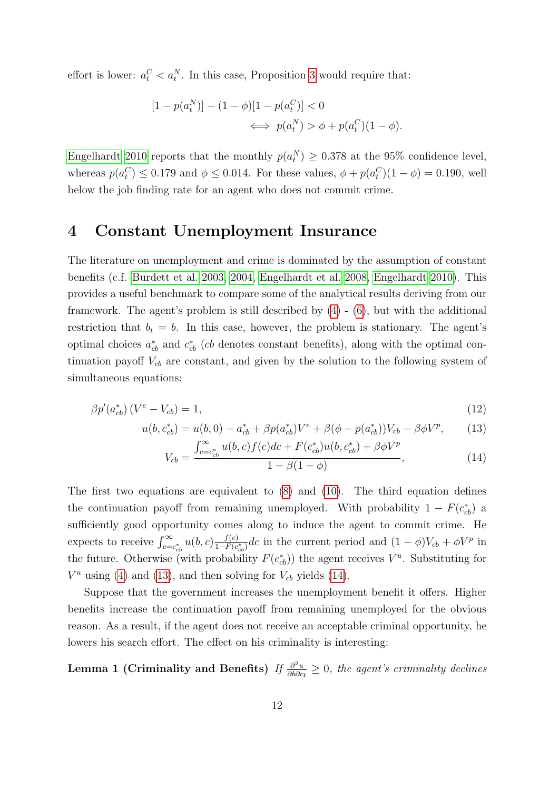effort is lower:  $a_t^C < a_t^N$ . In this case, Proposition [3](#page-10-1) would require that:

$$
[1 - p(a_t^N)] - (1 - \phi)[1 - p(a_t^C)] < 0
$$
\n
$$
\iff p(a_t^N) > \phi + p(a_t^C)(1 - \phi).
$$

[Engelhardt 2010](#page-36-7) reports that the monthly  $p(a_t^N) \ge 0.378$  at the 95% confidence level, whereas  $p(a_t^C) \le 0.179$  and  $\phi \le 0.014$ . For these values,  $\phi + p(a_t^C)(1 - \phi) = 0.190$ , well below the job finding rate for an agent who does not commit crime.

#### <span id="page-12-0"></span>4 Constant Unemployment Insurance

The literature on unemployment and crime is dominated by the assumption of constant benefits (c.f. [Burdett et al. 2003,](#page-36-0) [2004,](#page-36-1) [Engelhardt et al. 2008,](#page-36-3) [Engelhardt 2010\)](#page-36-7). This provides a useful benchmark to compare some of the analytical results deriving from our framework. The agent's problem is still described by [\(4\)](#page-8-1) - [\(6\)](#page-8-4), but with the additional restriction that  $b_t = b$ . In this case, however, the problem is stationary. The agent's optimal choices  $a_{cb}^*$  and  $c_{cb}^*$  (cb denotes constant benefits), along with the optimal continuation payoff  $V_{cb}$  are constant, and given by the solution to the following system of simultaneous equations:

$$
\beta p'(a_{cb}^*) (V^e - V_{cb}) = 1,\t\t(12)
$$

$$
u(b, c_{cb}^{*}) = u(b, 0) - a_{cb}^{*} + \beta p(a_{cb}^{*})V^{e} + \beta(\phi - p(a_{cb}^{*}))V_{cb} - \beta \phi V^{p}, \qquad (13)
$$

<span id="page-12-4"></span><span id="page-12-3"></span><span id="page-12-2"></span><span id="page-12-1"></span>
$$
V_{cb} = \frac{\int_{c=c_{cb}^{*}}^{\infty} u(b,c) f(c) dc + F(c_{cb}^{*}) u(b,c_{cb}^{*}) + \beta \phi V^{p}}{1 - \beta(1-\phi)},
$$
\n(14)

The first two equations are equivalent to [\(8\)](#page-9-0) and [\(10\)](#page-10-0). The third equation defines the continuation payoff from remaining unemployed. With probability  $1 - F(c_{cb}^*)$  a sufficiently good opportunity comes along to induce the agent to commit crime. He expects to receive  $\int_{c=c_{cb}^*}^{\infty} u(b, c) \frac{f(c)}{1-F(c)}$  $\frac{f(c)}{1-F(c_{cb}^*)}$ dc in the current period and  $(1-\phi)V_{cb} + \phi V^p$  in the future. Otherwise (with probability  $F(c_{cb}^*)$ ) the agent receives  $V^u$ . Substituting for  $V^u$  using [\(4\)](#page-8-1) and [\(13\)](#page-12-1), and then solving for  $V_{cb}$  yields [\(14\)](#page-12-2).

Suppose that the government increases the unemployment benefit it offers. Higher benefits increase the continuation payoff from remaining unemployed for the obvious reason. As a result, if the agent does not receive an acceptable criminal opportunity, he lowers his search effort. The effect on his criminality is interesting:

Lemma 1 (Criminality and Benefits) If  $\frac{\partial^2 u}{\partial b \partial c}$  $\frac{\partial^2 u}{\partial b \partial c_t} \geq 0$ , the agent's criminality declines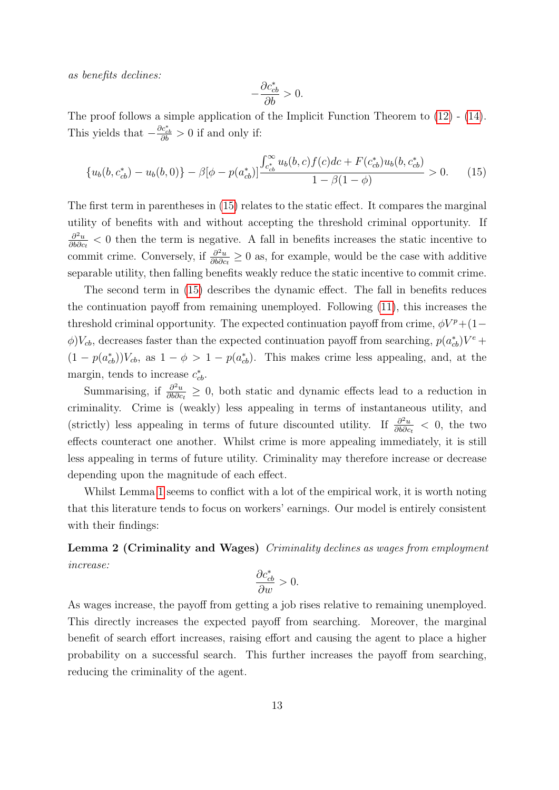as benefits declines:

<span id="page-13-0"></span>
$$
-\frac{\partial c_{cb}^*}{\partial b} > 0.
$$

The proof follows a simple application of the Implicit Function Theorem to [\(12\)](#page-12-3) - [\(14\)](#page-12-2). This yields that  $-\frac{\partial c_{cb}^*}{\partial b} > 0$  if and only if:

$$
\{u_b(b, c_{cb}^*) - u_b(b, 0)\} - \beta[\phi - p(a_{cb}^*)] \frac{\int_{c_{cb}^*}^{\infty} u_b(b, c) f(c)dc + F(c_{cb}^*) u_b(b, c_{cb}^*)}{1 - \beta(1 - \phi)} > 0. \tag{15}
$$

The first term in parentheses in [\(15\)](#page-13-0) relates to the static effect. It compares the marginal utility of benefits with and without accepting the threshold criminal opportunity. If  $\partial^2 u$  $\frac{\partial^2 u}{\partial b \partial c_t}$  < 0 then the term is negative. A fall in benefits increases the static incentive to commit crime. Conversely, if  $\frac{\partial^2 u}{\partial h \partial c}$  $\frac{\partial^2 u}{\partial b \partial c_t} \geq 0$  as, for example, would be the case with additive separable utility, then falling benefits weakly reduce the static incentive to commit crime.

The second term in [\(15\)](#page-13-0) describes the dynamic effect. The fall in benefits reduces the continuation payoff from remaining unemployed. Following [\(11\)](#page-11-0), this increases the threshold criminal opportunity. The expected continuation payoff from crime,  $\phi V^p + (1-\phi)^2$  $\phi$ ) $V_{cb}$ , decreases faster than the expected continuation payoff from searching,  $p(a_{cb}^*)V^e$  +  $(1 - p(a_{cb}^*))V_{cb}$ , as  $1 - \phi > 1 - p(a_{cb}^*)$ . This makes crime less appealing, and, at the margin, tends to increase  $c_{cb}^*$ .

Summarising, if  $\frac{\partial^2 u}{\partial b \partial c}$  $\frac{\partial^2 u}{\partial b \partial c_t} \geq 0$ , both static and dynamic effects lead to a reduction in criminality. Crime is (weakly) less appealing in terms of instantaneous utility, and (strictly) less appealing in terms of future discounted utility. If  $\frac{\partial^2 u}{\partial b \partial c}$  $\frac{\partial^2 u}{\partial b \partial c_t}$  < 0, the two effects counteract one another. Whilst crime is more appealing immediately, it is still less appealing in terms of future utility. Criminality may therefore increase or decrease depending upon the magnitude of each effect.

<span id="page-13-1"></span>Whilst Lemma [1](#page-12-4) seems to conflict with a lot of the empirical work, it is worth noting that this literature tends to focus on workers' earnings. Our model is entirely consistent with their findings:

Lemma 2 (Criminality and Wages) Criminality declines as wages from employment increase:

$$
\frac{\partial c_{cb}^*}{\partial w} > 0.
$$

As wages increase, the payoff from getting a job rises relative to remaining unemployed. This directly increases the expected payoff from searching. Moreover, the marginal benefit of search effort increases, raising effort and causing the agent to place a higher probability on a successful search. This further increases the payoff from searching, reducing the criminality of the agent.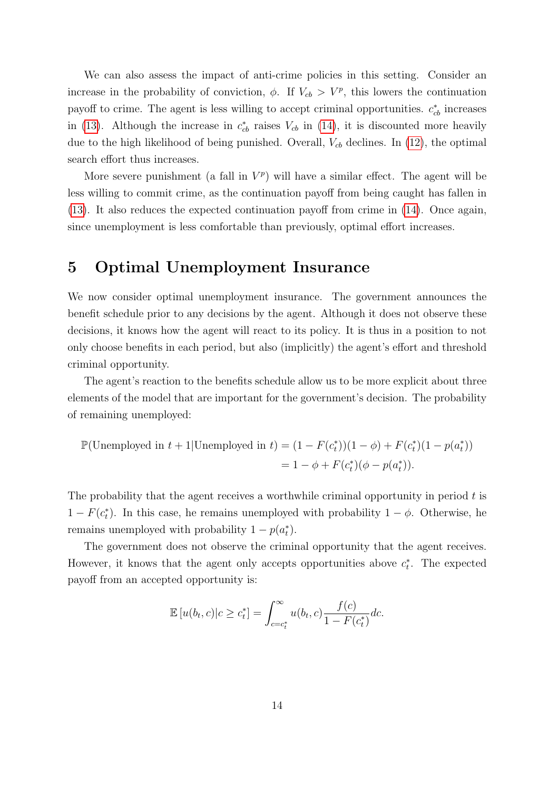We can also assess the impact of anti-crime policies in this setting. Consider an increase in the probability of conviction,  $\phi$ . If  $V_{cb} > V^p$ , this lowers the continuation payoff to crime. The agent is less willing to accept criminal opportunities.  $c_{cb}^*$  increases in [\(13\)](#page-12-1). Although the increase in  $c_{cb}^*$  raises  $V_{cb}$  in [\(14\)](#page-12-2), it is discounted more heavily due to the high likelihood of being punished. Overall,  $V_{cb}$  declines. In [\(12\)](#page-12-3), the optimal search effort thus increases.

More severe punishment (a fall in  $V^p$ ) will have a similar effect. The agent will be less willing to commit crime, as the continuation payoff from being caught has fallen in [\(13\)](#page-12-1). It also reduces the expected continuation payoff from crime in [\(14\)](#page-12-2). Once again, since unemployment is less comfortable than previously, optimal effort increases.

### <span id="page-14-0"></span>5 Optimal Unemployment Insurance

We now consider optimal unemployment insurance. The government announces the benefit schedule prior to any decisions by the agent. Although it does not observe these decisions, it knows how the agent will react to its policy. It is thus in a position to not only choose benefits in each period, but also (implicitly) the agent's effort and threshold criminal opportunity.

The agent's reaction to the benefits schedule allow us to be more explicit about three elements of the model that are important for the government's decision. The probability of remaining unemployed:

$$
\mathbb{P}(\text{Unemployed in } t + 1 | \text{Unemployed in } t) = (1 - F(c_t^*))(1 - \phi) + F(c_t^*)(1 - p(a_t^*))
$$
  
= 1 - \phi + F(c\_t^\*)(\phi - p(a\_t^\*)).

The probability that the agent receives a worthwhile criminal opportunity in period  $t$  is  $1 - F(c_t^*)$ . In this case, he remains unemployed with probability  $1 - \phi$ . Otherwise, he remains unemployed with probability  $1 - p(a_t^*)$ .

The government does not observe the criminal opportunity that the agent receives. However, it knows that the agent only accepts opportunities above  $c_t^*$ . The expected payoff from an accepted opportunity is:

$$
\mathbb{E}[u(b_t, c)|c \ge c_t^*] = \int_{c=c_t^*}^{\infty} u(b_t, c) \frac{f(c)}{1 - F(c_t^*)} dc.
$$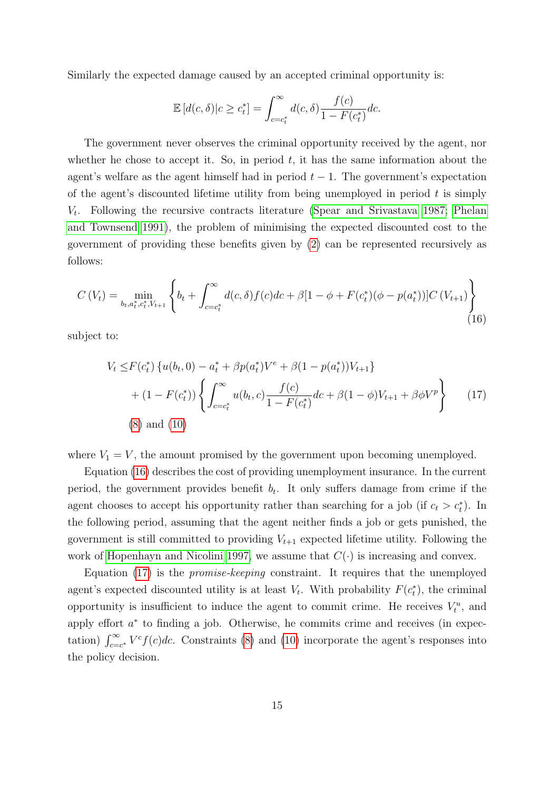Similarly the expected damage caused by an accepted criminal opportunity is:

$$
\mathbb{E}\left[d(c,\delta)|c\geq c_t^*\right] = \int_{c=c_t^*}^{\infty} d(c,\delta)\frac{f(c)}{1-F(c_t^*)}dc.
$$

The government never observes the criminal opportunity received by the agent, nor whether he chose to accept it. So, in period  $t$ , it has the same information about the agent's welfare as the agent himself had in period  $t - 1$ . The government's expectation of the agent's discounted lifetime utility from being unemployed in period  $t$  is simply Vt . Following the recursive contracts literature [\(Spear and Srivastava 1987;](#page-37-12) [Phelan](#page-37-13) [and Townsend 1991\)](#page-37-13), the problem of minimising the expected discounted cost to the government of providing these benefits given by [\(2\)](#page-7-2) can be represented recursively as follows:

<span id="page-15-0"></span>
$$
C\left(V_{t}\right) = \min_{b_{t}, a_{t}^{*}, c_{t}^{*}, V_{t+1}} \left\{ b_{t} + \int_{c=c_{t}^{*}}^{\infty} d(c, \delta) f(c) dc + \beta [1-\phi + F(c_{t}^{*})(\phi - p(a_{t}^{*}))] C\left(V_{t+1}\right) \right\}
$$
(16)

subject to:

<span id="page-15-1"></span>
$$
V_t \leq F(c_t^*) \left\{ u(b_t, 0) - a_t^* + \beta p(a_t^*) V^e + \beta (1 - p(a_t^*)) V_{t+1} \right\}
$$
  
+ 
$$
(1 - F(c_t^*)) \left\{ \int_{c=c_t^*}^{\infty} u(b_t, c) \frac{f(c)}{1 - F(c_t^*)} dc + \beta (1 - \phi) V_{t+1} + \beta \phi V^p \right\}
$$
 (17)  
(8) and (10)

where  $V_1 = V$ , the amount promised by the government upon becoming unemployed.

Equation [\(16\)](#page-15-0) describes the cost of providing unemployment insurance. In the current period, the government provides benefit  $b_t$ . It only suffers damage from crime if the agent chooses to accept his opportunity rather than searching for a job (if  $c_t > c_t^*$ ). In the following period, assuming that the agent neither finds a job or gets punished, the government is still committed to providing  $V_{t+1}$  expected lifetime utility. Following the work of [Hopenhayn and Nicolini 1997,](#page-37-7) we assume that  $C(\cdot)$  is increasing and convex.

Equation [\(17\)](#page-15-1) is the promise-keeping constraint. It requires that the unemployed agent's expected discounted utility is at least  $V_t$ . With probability  $F(c_t^*)$ , the criminal opportunity is insufficient to induce the agent to commit crime. He receives  $V_t^u$ , and apply effort  $a^*$  to finding a job. Otherwise, he commits crime and receives (in expectation)  $\int_{c=c^*}^{\infty} V^c f(c)dc$ . Constraints [\(8\)](#page-9-0) and [\(10\)](#page-10-0) incorporate the agent's responses into the policy decision.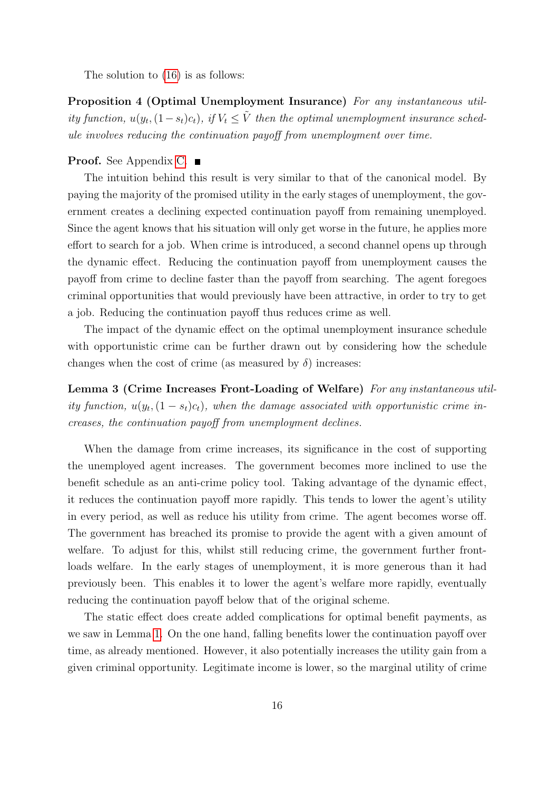<span id="page-16-0"></span>The solution to [\(16\)](#page-15-0) is as follows:

Proposition 4 (Optimal Unemployment Insurance) For any instantaneous utility function,  $u(y_t, (1-s_t)c_t)$ , if  $V_t \leq \tilde{V}$  then the optimal unemployment insurance schedule involves reducing the continuation payoff from unemployment over time.

#### **Proof.** See Appendix [C.](#page-31-0) ■

The intuition behind this result is very similar to that of the canonical model. By paying the majority of the promised utility in the early stages of unemployment, the government creates a declining expected continuation payoff from remaining unemployed. Since the agent knows that his situation will only get worse in the future, he applies more effort to search for a job. When crime is introduced, a second channel opens up through the dynamic effect. Reducing the continuation payoff from unemployment causes the payoff from crime to decline faster than the payoff from searching. The agent foregoes criminal opportunities that would previously have been attractive, in order to try to get a job. Reducing the continuation payoff thus reduces crime as well.

<span id="page-16-1"></span>The impact of the dynamic effect on the optimal unemployment insurance schedule with opportunistic crime can be further drawn out by considering how the schedule changes when the cost of crime (as measured by  $\delta$ ) increases:

Lemma 3 (Crime Increases Front-Loading of Welfare) For any instantaneous utility function,  $u(y_t, (1-s_t)c_t)$ , when the damage associated with opportunistic crime increases, the continuation payoff from unemployment declines.

When the damage from crime increases, its significance in the cost of supporting the unemployed agent increases. The government becomes more inclined to use the benefit schedule as an anti-crime policy tool. Taking advantage of the dynamic effect, it reduces the continuation payoff more rapidly. This tends to lower the agent's utility in every period, as well as reduce his utility from crime. The agent becomes worse off. The government has breached its promise to provide the agent with a given amount of welfare. To adjust for this, whilst still reducing crime, the government further frontloads welfare. In the early stages of unemployment, it is more generous than it had previously been. This enables it to lower the agent's welfare more rapidly, eventually reducing the continuation payoff below that of the original scheme.

The static effect does create added complications for optimal benefit payments, as we saw in Lemma [1.](#page-12-4) On the one hand, falling benefits lower the continuation payoff over time, as already mentioned. However, it also potentially increases the utility gain from a given criminal opportunity. Legitimate income is lower, so the marginal utility of crime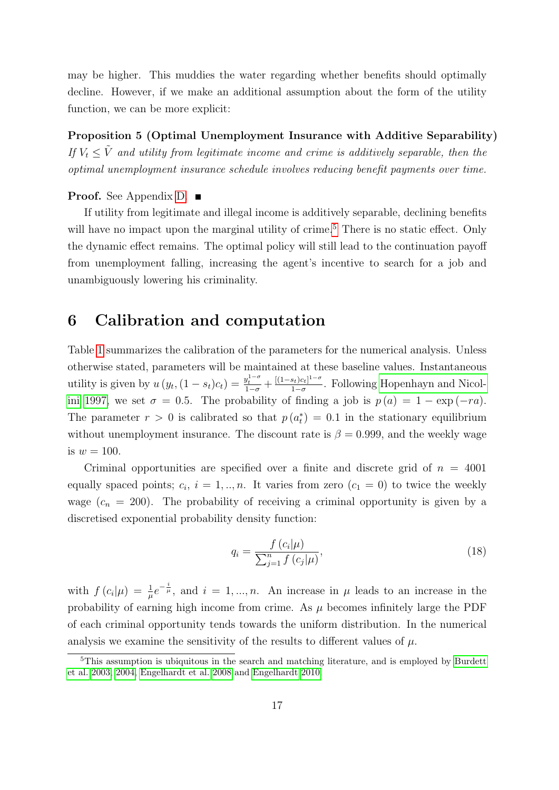may be higher. This muddies the water regarding whether benefits should optimally decline. However, if we make an additional assumption about the form of the utility function, we can be more explicit:

<span id="page-17-3"></span>Proposition 5 (Optimal Unemployment Insurance with Additive Separability) If  $V_t \leq \tilde{V}$  and utility from legitimate income and crime is additively separable, then the optimal unemployment insurance schedule involves reducing benefit payments over time.

#### **Proof.** See Appendix [D.](#page-32-0) ■

If utility from legitimate and illegal income is additively separable, declining benefits will have no impact upon the marginal utility of crime.<sup>[5](#page-17-1)</sup> There is no static effect. Only the dynamic effect remains. The optimal policy will still lead to the continuation payoff from unemployment falling, increasing the agent's incentive to search for a job and unambiguously lowering his criminality.

#### <span id="page-17-0"></span>6 Calibration and computation

Table [1](#page-19-0) summarizes the calibration of the parameters for the numerical analysis. Unless otherwise stated, parameters will be maintained at these baseline values. Instantaneous utility is given by  $u(y_t, (1 - s_t)c_t) = \frac{y_t^{1-\sigma}}{1-\sigma} + \frac{[(1-s_t)c_t]^{1-\sigma}}{1-\sigma}$  $\frac{s_t/c_t}{1-\sigma}$ . Following [Hopenhayn and Nicol](#page-37-7)[ini 1997,](#page-37-7) we set  $\sigma = 0.5$ . The probability of finding a job is  $p(a) = 1 - \exp(-ra)$ . The parameter  $r > 0$  is calibrated so that  $p(a_t^*) = 0.1$  in the stationary equilibrium without unemployment insurance. The discount rate is  $\beta = 0.999$ , and the weekly wage is  $w = 100$ .

Criminal opportunities are specified over a finite and discrete grid of  $n = 4001$ equally spaced points;  $c_i$ ,  $i = 1, ..., n$ . It varies from zero  $(c_1 = 0)$  to twice the weekly wage  $(c_n = 200)$ . The probability of receiving a criminal opportunity is given by a discretised exponential probability density function:

<span id="page-17-2"></span>
$$
q_i = \frac{f(c_i|\mu)}{\sum_{j=1}^n f(c_j|\mu)},
$$
\n(18)

with  $f(c_i|\mu) = \frac{1}{\mu}e^{-\frac{i}{\mu}},$  and  $i = 1, ..., n$ . An increase in  $\mu$  leads to an increase in the probability of earning high income from crime. As  $\mu$  becomes infinitely large the PDF of each criminal opportunity tends towards the uniform distribution. In the numerical analysis we examine the sensitivity of the results to different values of  $\mu$ .

<span id="page-17-1"></span> $\overline{5}$ This assumption is ubiquitous in the search and matching literature, and is employed by [Burdett](#page-36-0) [et al. 2003,](#page-36-0) [2004,](#page-36-1) [Engelhardt et al. 2008](#page-36-3) and [Engelhardt 2010.](#page-36-7)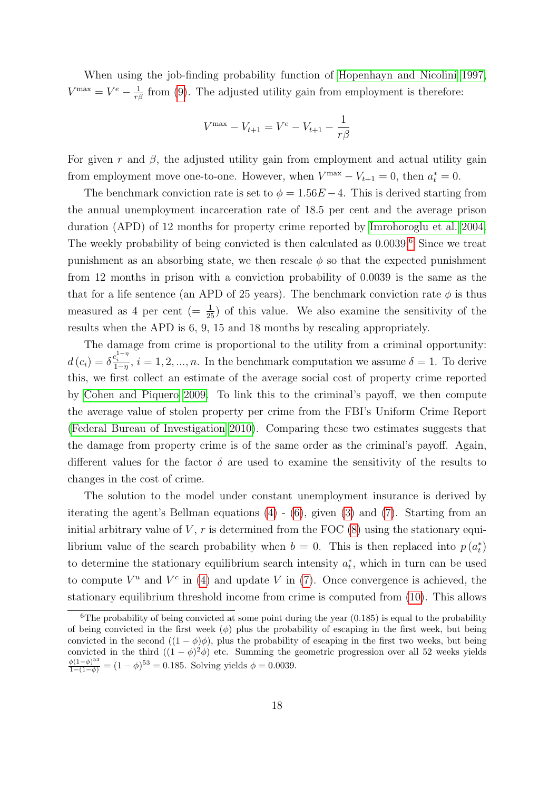When using the job-finding probability function of [Hopenhayn and Nicolini 1997,](#page-37-7)  $V^{\max} = V^e - \frac{1}{r\beta}$  from [\(9\)](#page-9-1). The adjusted utility gain from employment is therefore:

$$
V^{\max} - V_{t+1} = V^e - V_{t+1} - \frac{1}{r\beta}
$$

For given r and  $\beta$ , the adjusted utility gain from employment and actual utility gain from employment move one-to-one. However, when  $V^{\max} - V_{t+1} = 0$ , then  $a_t^* = 0$ .

The benchmark conviction rate is set to  $\phi = 1.56E - 4$ . This is derived starting from the annual unemployment incarceration rate of 18.5 per cent and the average prison duration (APD) of 12 months for property crime reported by [Imrohoroglu et al. 2004.](#page-37-6) The weekly probability of being convicted is then calculated as  $0.0039$ .<sup>[6](#page-18-0)</sup> Since we treat punishment as an absorbing state, we then rescale  $\phi$  so that the expected punishment from 12 months in prison with a conviction probability of 0.0039 is the same as the that for a life sentence (an APD of 25 years). The benchmark conviction rate  $\phi$  is thus measured as 4 per cent  $(=\frac{1}{25})$  of this value. We also examine the sensitivity of the results when the APD is 6, 9, 15 and 18 months by rescaling appropriately.

The damage from crime is proportional to the utility from a criminal opportunity:  $d(c_i) = \delta \frac{c_i^{1-\eta}}{1-\eta}, i = 1, 2, ..., n$ . In the benchmark computation we assume  $\delta = 1$ . To derive this, we first collect an estimate of the average social cost of property crime reported by [Cohen and Piquero 2009.](#page-36-11) To link this to the criminal's payoff, we then compute the average value of stolen property per crime from the FBI's Uniform Crime Report [\(Federal Bureau of Investigation 2010\)](#page-36-12). Comparing these two estimates suggests that the damage from property crime is of the same order as the criminal's payoff. Again, different values for the factor  $\delta$  are used to examine the sensitivity of the results to changes in the cost of crime.

The solution to the model under constant unemployment insurance is derived by iterating the agent's Bellman equations  $(4)$  -  $(6)$ , given  $(3)$  and  $(7)$ . Starting from an initial arbitrary value of V,  $r$  is determined from the FOC  $(8)$  using the stationary equilibrium value of the search probability when  $b = 0$ . This is then replaced into  $p(a_t^*)$ to determine the stationary equilibrium search intensity  $a_t^*$ , which in turn can be used to compute  $V^u$  and  $V^c$  in [\(4\)](#page-8-1) and update V in [\(7\)](#page-8-5). Once convergence is achieved, the stationary equilibrium threshold income from crime is computed from [\(10\)](#page-10-0). This allows

<span id="page-18-0"></span> $6$ The probability of being convicted at some point during the year  $(0.185)$  is equal to the probability of being convicted in the first week  $(\phi)$  plus the probability of escaping in the first week, but being convicted in the second  $((1 - \phi)\phi)$ , plus the probability of escaping in the first two weeks, but being convicted in the third  $((1 - \phi)^2 \phi)$  etc. Summing the geometric progression over all 52 weeks yields  $\frac{\phi(1-\phi)^{53}}{1-(1-\phi)} = (1-\phi)^{53} = 0.185$ . Solving yields  $\phi = 0.0039$ .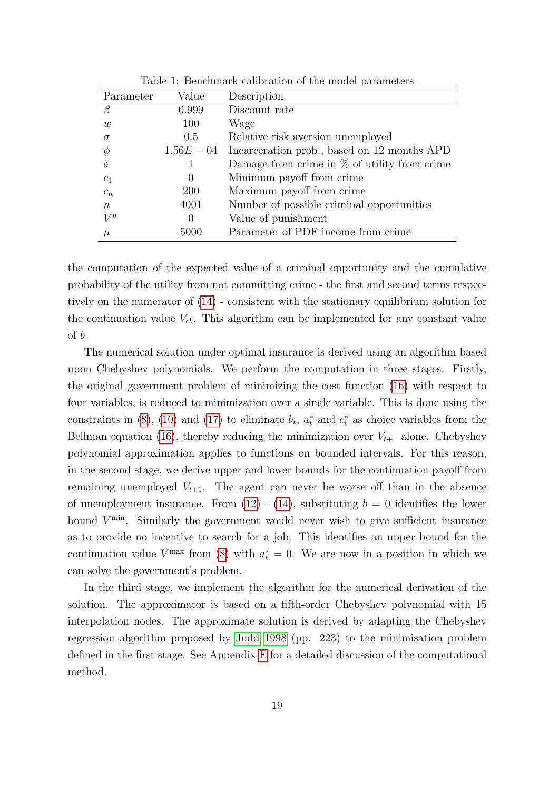| Parameter      | Value            | Description                                     |
|----------------|------------------|-------------------------------------------------|
| 13             | 0.999            | Discount rate                                   |
| $\overline{w}$ | 100              | Wage                                            |
| $\sigma$       | $0.5^{\circ}$    | Relative risk aversion unemployed               |
| $\varphi$      | $1.56E - 04$     | Incarceration prob., based on 12 months APD     |
|                |                  | Damage from crime in $\%$ of utility from crime |
| $c_1$          | $\theta$         | Minimum payoff from crime.                      |
| $c_n$          | <b>200</b>       | Maximum payoff from crime.                      |
| $n_{\rm}$      | 4001             | Number of possible criminal opportunities       |
| $V^p$          | $\left( \right)$ | Value of punishment                             |
| $\mu$          | 5000             | Parameter of PDF income from crime              |

<span id="page-19-0"></span>Table 1: Benchmark calibration of the model parameters

the computation of the expected value of a criminal opportunity and the cumulative probability of the utility from not committing crime - the first and second terms respectively on the numerator of [\(14\)](#page-12-2) - consistent with the stationary equilibrium solution for the continuation value  $V_{cb}$ . This algorithm can be implemented for any constant value of b.

The numerical solution under optimal insurance is derived using an algorithm based upon Chebyshev polynomials. We perform the computation in three stages. Firstly, the original government problem of minimizing the cost function [\(16\)](#page-15-0) with respect to four variables, is reduced to minimization over a single variable. This is done using the constraints in [\(8\)](#page-9-0), [\(10\)](#page-10-0) and [\(17\)](#page-15-1) to eliminate  $b_t$ ,  $a_t^*$  and  $c_t^*$  as choice variables from the Bellman equation [\(16\)](#page-15-0), thereby reducing the minimization over  $V_{t+1}$  alone. Chebyshev polynomial approximation applies to functions on bounded intervals. For this reason, in the second stage, we derive upper and lower bounds for the continuation payoff from remaining unemployed  $V_{t+1}$ . The agent can never be worse off than in the absence of unemployment insurance. From  $(12) - (14)$  $(12) - (14)$  $(12) - (14)$ , substituting  $b = 0$  identifies the lower bound  $V^{\min}$ . Similarly the government would never wish to give sufficient insurance as to provide no incentive to search for a job. This identifies an upper bound for the continuation value  $V^{\text{max}}$  from [\(8\)](#page-9-0) with  $a_t^* = 0$ . We are now in a position in which we can solve the government's problem.

In the third stage, we implement the algorithm for the numerical derivation of the solution. The approximator is based on a fifth-order Chebyshev polynomial with 15 interpolation nodes. The approximate solution is derived by adapting the Chebyshev regression algorithm proposed by [Judd 1998](#page-37-14) (pp. 223) to the minimisation problem defined in the first stage. See Appendix [E](#page-33-0) for a detailed discussion of the computational method.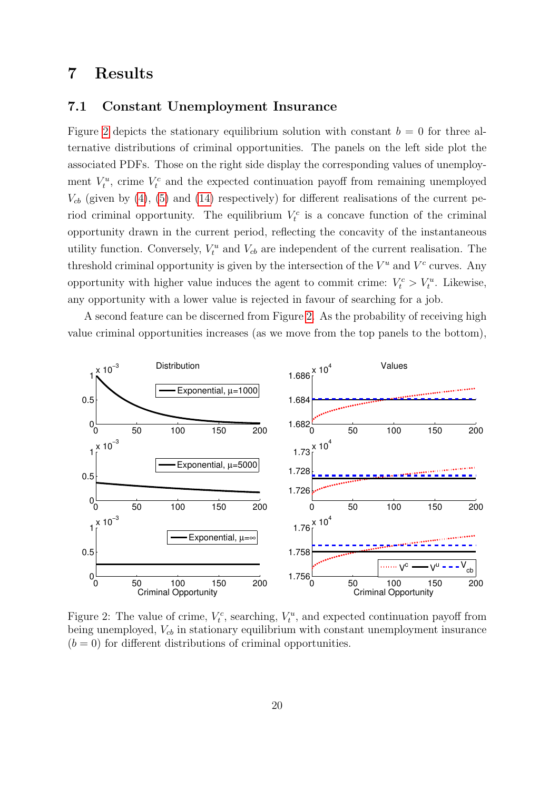### <span id="page-20-0"></span>7 Results

#### 7.1 Constant Unemployment Insurance

Figure [2](#page-20-1) depicts the stationary equilibrium solution with constant  $b = 0$  for three alternative distributions of criminal opportunities. The panels on the left side plot the associated PDFs. Those on the right side display the corresponding values of unemployment  $V_t^u$ , crime  $V_t^c$  and the expected continuation payoff from remaining unemployed  $V_{cb}$  (given by [\(4\)](#page-8-1), [\(5\)](#page-8-3) and [\(14\)](#page-12-2) respectively) for different realisations of the current period criminal opportunity. The equilibrium  $V_t^c$  is a concave function of the criminal opportunity drawn in the current period, reflecting the concavity of the instantaneous utility function. Conversely,  $V_t^u$  and  $V_{cb}$  are independent of the current realisation. The threshold criminal opportunity is given by the intersection of the  $V^u$  and  $V^c$  curves. Any opportunity with higher value induces the agent to commit crime:  $V_t^c > V_t^u$ . Likewise, any opportunity with a lower value is rejected in favour of searching for a job.

A second feature can be discerned from Figure [2.](#page-20-1) As the probability of receiving high value criminal opportunities increases (as we move from the top panels to the bottom),



<span id="page-20-1"></span>Figure 2: The value of crime,  $V_t^c$ , searching,  $V_t^u$ , and expected continuation payoff from being unemployed,  $V_{cb}$  in stationary equilibrium with constant unemployment insurance  $(b = 0)$  for different distributions of criminal opportunities.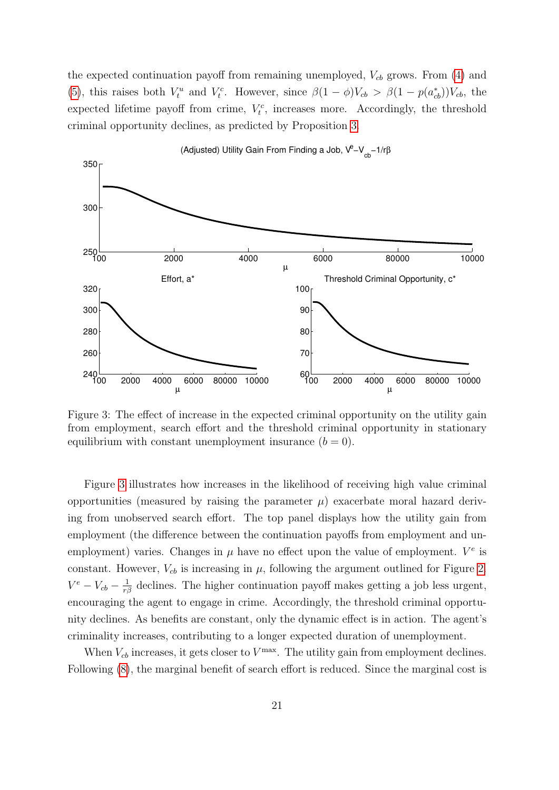the expected continuation payoff from remaining unemployed,  $V_{cb}$  grows. From [\(4\)](#page-8-1) and [\(5\)](#page-8-3), this raises both  $V_t^u$  and  $V_t^c$ . However, since  $\beta(1-\phi)V_{cb} > \beta(1-p(a_{cb}^*))V_{cb}$ , the expected lifetime payoff from crime,  $V_t^c$ , increases more. Accordingly, the threshold criminal opportunity declines, as predicted by Proposition [3.](#page-10-1)



<span id="page-21-0"></span>Figure 3: The effect of increase in the expected criminal opportunity on the utility gain from employment, search effort and the threshold criminal opportunity in stationary equilibrium with constant unemployment insurance  $(b = 0)$ .

Figure [3](#page-21-0) illustrates how increases in the likelihood of receiving high value criminal opportunities (measured by raising the parameter  $\mu$ ) exacerbate moral hazard deriving from unobserved search effort. The top panel displays how the utility gain from employment (the difference between the continuation payoffs from employment and unemployment) varies. Changes in  $\mu$  have no effect upon the value of employment.  $V^e$  is constant. However,  $V_{cb}$  is increasing in  $\mu$ , following the argument outlined for Figure [2.](#page-20-1)  $V^e - V_{cb} - \frac{1}{r\beta}$  declines. The higher continuation payoff makes getting a job less urgent, encouraging the agent to engage in crime. Accordingly, the threshold criminal opportunity declines. As benefits are constant, only the dynamic effect is in action. The agent's criminality increases, contributing to a longer expected duration of unemployment.

When  $V_{cb}$  increases, it gets closer to  $V^{\text{max}}$ . The utility gain from employment declines. Following [\(8\)](#page-9-0), the marginal benefit of search effort is reduced. Since the marginal cost is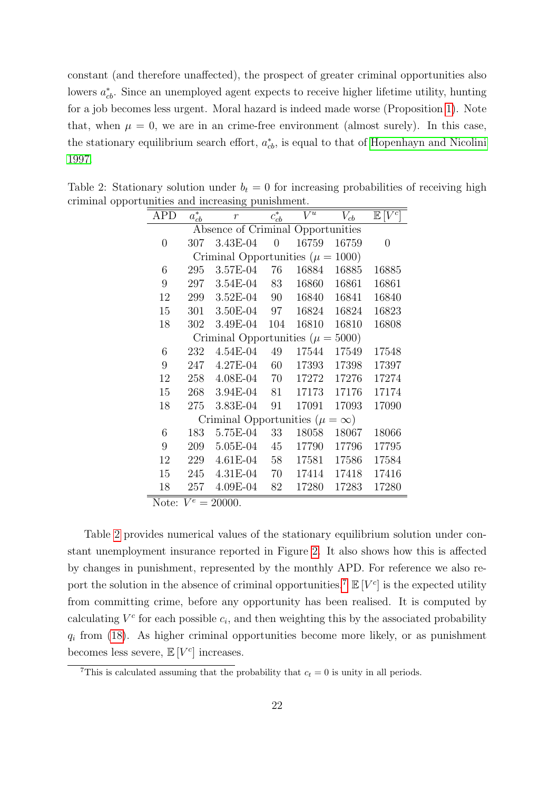constant (and therefore unaffected), the prospect of greater criminal opportunities also lowers  $a_{cb}^*$ . Since an unemployed agent expects to receive higher lifetime utility, hunting for a job becomes less urgent. Moral hazard is indeed made worse (Proposition [1\)](#page-9-2). Note that, when  $\mu = 0$ , we are in an crime-free environment (almost surely). In this case, the stationary equilibrium search effort,  $a_{cb}^*$ , is equal to that of [Hopenhayn and Nicolini](#page-37-7) [1997.](#page-37-7)

<span id="page-22-0"></span>

| APD                                       | $a_{cb}^{\ast}$  | $\boldsymbol{r}$ | $c_{cb}^{\ast }$ | $\bar{V}^u$ | $V_{cb}$ | $\mathbb{E}\left[ V^c \right]$ |  |  |
|-------------------------------------------|------------------|------------------|------------------|-------------|----------|--------------------------------|--|--|
| Absence of Criminal Opportunities         |                  |                  |                  |             |          |                                |  |  |
| $\overline{0}$                            | 307              | 3.43E-04         | $\boldsymbol{0}$ | 16759       | 16759    | 0                              |  |  |
| Criminal Opportunities ( $\mu = 1000$ )   |                  |                  |                  |             |          |                                |  |  |
| 6                                         | 295              | 3.57E-04         | 76               | 16884       | 16885    | 16885                          |  |  |
| 9                                         |                  | 297 3.54E-04 83  |                  | 16860       | 16861    | 16861                          |  |  |
| 12                                        |                  | 299 3.52E-04 90  |                  | 16840       | 16841    | 16840                          |  |  |
| 15                                        |                  | 301 3.50E-04 97  |                  | 16824       | 16824    | 16823                          |  |  |
| 18                                        | 302              | 3.49E-04         | 104              | 16810       | 16810    | 16808                          |  |  |
| Criminal Opportunities ( $\mu = 5000$ )   |                  |                  |                  |             |          |                                |  |  |
| 6                                         | 232              | $4.54E-04$       | 49               | 17544       | 17549    | 17548                          |  |  |
| $\boldsymbol{9}$                          | 247              | $4.27E-04$       | 60               | 17393       | 17398    | 17397                          |  |  |
| 12                                        | 258              | 4.08E-04 70      |                  | 17272       | 17276    | 17274                          |  |  |
| 15                                        | 268              | $3.94E-04$       | 81               | 17173       | 17176    | 17174                          |  |  |
| 18                                        | 275              | $3.83E-04$       | 91               | 17091       | 17093    | 17090                          |  |  |
| Criminal Opportunities ( $\mu = \infty$ ) |                  |                  |                  |             |          |                                |  |  |
| 6                                         | 183              | 5.75E-04         | 33               | 18058       | 18067    | 18066                          |  |  |
| 9                                         |                  | 209 5.05E-04     | 45               | 17790       | 17796    | 17795                          |  |  |
| 12                                        | 229              | $4.61E-04$       | 58               | 17581       | 17586    | 17584                          |  |  |
| 15                                        | 245              | $4.31E-04$       | 70               | 17414       | 17418    | 17416                          |  |  |
| 18                                        | 257              | 4.09E-04         | 82               | 17280       | 17283    | 17280                          |  |  |
| <b>NT</b>                                 | $T$ $Z$ $\alpha$ | 00000            |                  |             |          |                                |  |  |

Table 2: Stationary solution under  $b_t = 0$  for increasing probabilities of receiving high criminal opportunities and increasing punishment.

Note:  $V^e = 20000$ .

Table [2](#page-22-0) provides numerical values of the stationary equilibrium solution under constant unemployment insurance reported in Figure [2.](#page-20-1) It also shows how this is affected by changes in punishment, represented by the monthly APD. For reference we also re-port the solution in the absence of criminal opportunities.<sup>[7](#page-22-1)</sup>  $\mathbb{E}[V^c]$  is the expected utility from committing crime, before any opportunity has been realised. It is computed by calculating  $V^c$  for each possible  $c_i$ , and then weighting this by the associated probability  $q_i$  from [\(18\)](#page-17-2). As higher criminal opportunities become more likely, or as punishment becomes less severe,  $\mathbb{E}[V^c]$  increases.

<span id="page-22-1"></span><sup>&</sup>lt;sup>7</sup>This is calculated assuming that the probability that  $c_t = 0$  is unity in all periods.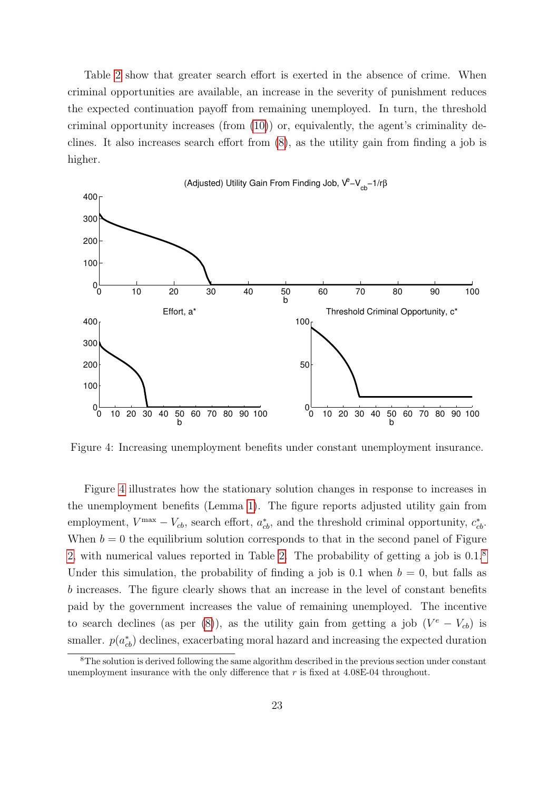Table [2](#page-22-0) show that greater search effort is exerted in the absence of crime. When criminal opportunities are available, an increase in the severity of punishment reduces the expected continuation payoff from remaining unemployed. In turn, the threshold criminal opportunity increases (from  $(10)$ ) or, equivalently, the agent's criminality declines. It also increases search effort from [\(8\)](#page-9-0), as the utility gain from finding a job is higher.



<span id="page-23-0"></span>Figure 4: Increasing unemployment benefits under constant unemployment insurance.

Figure [4](#page-23-0) illustrates how the stationary solution changes in response to increases in the unemployment benefits (Lemma [1\)](#page-12-4). The figure reports adjusted utility gain from employment,  $V^{\text{max}} - V_{cb}$ , search effort,  $a_{cb}^*$ , and the threshold criminal opportunity,  $c_{cb}^*$ . When  $b = 0$  the equilibrium solution corresponds to that in the second panel of Figure [2,](#page-20-1) with numerical values reported in Table [2.](#page-22-0) The probability of getting a job is 0.1.[8](#page-23-1) Under this simulation, the probability of finding a job is 0.1 when  $b = 0$ , but falls as b increases. The figure clearly shows that an increase in the level of constant benefits paid by the government increases the value of remaining unemployed. The incentive to search declines (as per [\(8\)](#page-9-0)), as the utility gain from getting a job  $(V^e - V_{cb})$  is smaller.  $p(a_{cb}^*)$  declines, exacerbating moral hazard and increasing the expected duration

<span id="page-23-1"></span><sup>8</sup>The solution is derived following the same algorithm described in the previous section under constant unemployment insurance with the only difference that  $r$  is fixed at 4.08E-04 throughout.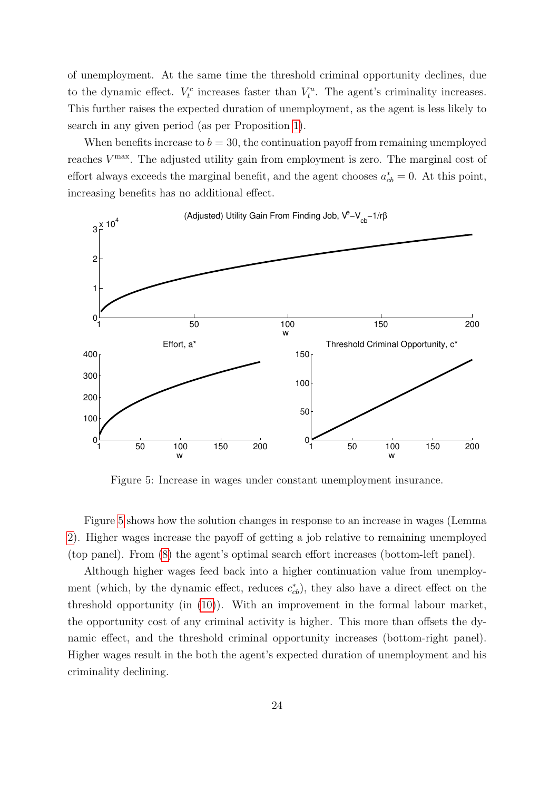of unemployment. At the same time the threshold criminal opportunity declines, due to the dynamic effect.  $V_t^c$  increases faster than  $V_t^u$ . The agent's criminality increases. This further raises the expected duration of unemployment, as the agent is less likely to search in any given period (as per Proposition [1\)](#page-9-2).

When benefits increase to  $b = 30$ , the continuation payoff from remaining unemployed reaches  $V^{\text{max}}$ . The adjusted utility gain from employment is zero. The marginal cost of effort always exceeds the marginal benefit, and the agent chooses  $a_{cb}^* = 0$ . At this point, increasing benefits has no additional effect.



<span id="page-24-0"></span>Figure 5: Increase in wages under constant unemployment insurance.

Figure [5](#page-24-0) shows how the solution changes in response to an increase in wages (Lemma [2\)](#page-13-1). Higher wages increase the payoff of getting a job relative to remaining unemployed (top panel). From [\(8\)](#page-9-0) the agent's optimal search effort increases (bottom-left panel).

Although higher wages feed back into a higher continuation value from unemployment (which, by the dynamic effect, reduces  $c_{cb}^*$ ), they also have a direct effect on the threshold opportunity (in [\(10\)](#page-10-0)). With an improvement in the formal labour market, the opportunity cost of any criminal activity is higher. This more than offsets the dynamic effect, and the threshold criminal opportunity increases (bottom-right panel). Higher wages result in the both the agent's expected duration of unemployment and his criminality declining.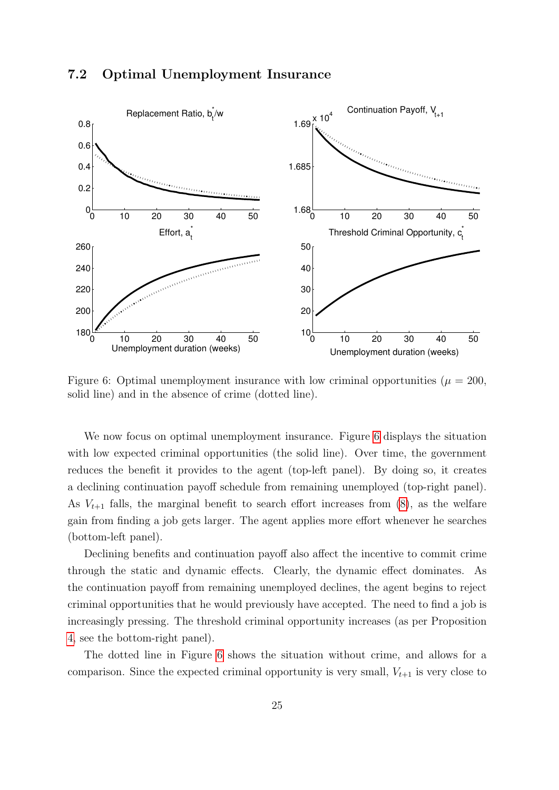#### 7.2 Optimal Unemployment Insurance



<span id="page-25-0"></span>Figure 6: Optimal unemployment insurance with low criminal opportunities ( $\mu = 200$ , solid line) and in the absence of crime (dotted line).

We now focus on optimal unemployment insurance. Figure [6](#page-25-0) displays the situation with low expected criminal opportunities (the solid line). Over time, the government reduces the benefit it provides to the agent (top-left panel). By doing so, it creates a declining continuation payoff schedule from remaining unemployed (top-right panel). As  $V_{t+1}$  falls, the marginal benefit to search effort increases from [\(8\)](#page-9-0), as the welfare gain from finding a job gets larger. The agent applies more effort whenever he searches (bottom-left panel).

Declining benefits and continuation payoff also affect the incentive to commit crime through the static and dynamic effects. Clearly, the dynamic effect dominates. As the continuation payoff from remaining unemployed declines, the agent begins to reject criminal opportunities that he would previously have accepted. The need to find a job is increasingly pressing. The threshold criminal opportunity increases (as per Proposition [4,](#page-16-0) see the bottom-right panel).

The dotted line in Figure [6](#page-25-0) shows the situation without crime, and allows for a comparison. Since the expected criminal opportunity is very small,  $V_{t+1}$  is very close to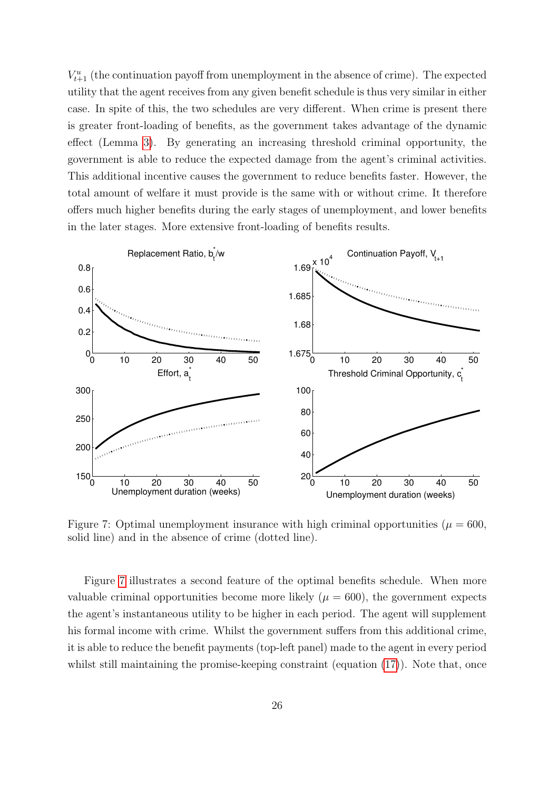$V_{t+1}^u$  (the continuation payoff from unemployment in the absence of crime). The expected utility that the agent receives from any given benefit schedule is thus very similar in either case. In spite of this, the two schedules are very different. When crime is present there is greater front-loading of benefits, as the government takes advantage of the dynamic effect (Lemma [3\)](#page-16-1). By generating an increasing threshold criminal opportunity, the government is able to reduce the expected damage from the agent's criminal activities. This additional incentive causes the government to reduce benefits faster. However, the total amount of welfare it must provide is the same with or without crime. It therefore offers much higher benefits during the early stages of unemployment, and lower benefits in the later stages. More extensive front-loading of benefits results.



<span id="page-26-0"></span>Figure 7: Optimal unemployment insurance with high criminal opportunities ( $\mu = 600$ , solid line) and in the absence of crime (dotted line).

Figure [7](#page-26-0) illustrates a second feature of the optimal benefits schedule. When more valuable criminal opportunities become more likely  $(\mu = 600)$ , the government expects the agent's instantaneous utility to be higher in each period. The agent will supplement his formal income with crime. Whilst the government suffers from this additional crime, it is able to reduce the benefit payments (top-left panel) made to the agent in every period whilst still maintaining the promise-keeping constraint (equation [\(17\)](#page-15-1)). Note that, once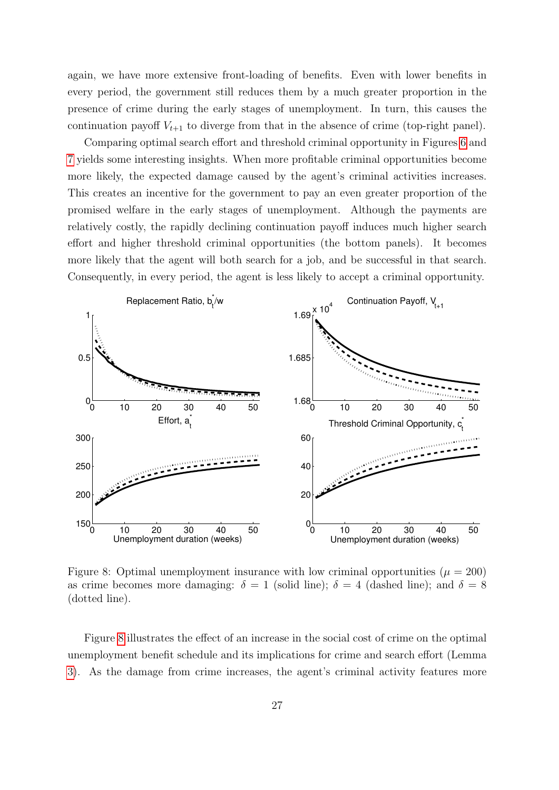again, we have more extensive front-loading of benefits. Even with lower benefits in every period, the government still reduces them by a much greater proportion in the presence of crime during the early stages of unemployment. In turn, this causes the continuation payoff  $V_{t+1}$  to diverge from that in the absence of crime (top-right panel).

Comparing optimal search effort and threshold criminal opportunity in Figures [6](#page-25-0) and [7](#page-26-0) yields some interesting insights. When more profitable criminal opportunities become more likely, the expected damage caused by the agent's criminal activities increases. This creates an incentive for the government to pay an even greater proportion of the promised welfare in the early stages of unemployment. Although the payments are relatively costly, the rapidly declining continuation payoff induces much higher search effort and higher threshold criminal opportunities (the bottom panels). It becomes more likely that the agent will both search for a job, and be successful in that search. Consequently, in every period, the agent is less likely to accept a criminal opportunity.



<span id="page-27-0"></span>Figure 8: Optimal unemployment insurance with low criminal opportunities ( $\mu = 200$ ) as crime becomes more damaging:  $\delta = 1$  (solid line);  $\delta = 4$  (dashed line); and  $\delta = 8$ (dotted line).

Figure [8](#page-27-0) illustrates the effect of an increase in the social cost of crime on the optimal unemployment benefit schedule and its implications for crime and search effort (Lemma [3\)](#page-16-1). As the damage from crime increases, the agent's criminal activity features more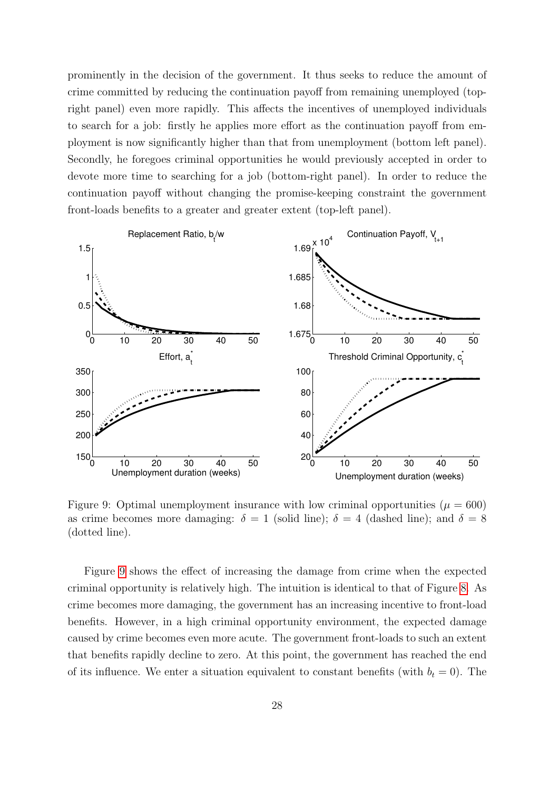prominently in the decision of the government. It thus seeks to reduce the amount of crime committed by reducing the continuation payoff from remaining unemployed (topright panel) even more rapidly. This affects the incentives of unemployed individuals to search for a job: firstly he applies more effort as the continuation payoff from employment is now significantly higher than that from unemployment (bottom left panel). Secondly, he foregoes criminal opportunities he would previously accepted in order to devote more time to searching for a job (bottom-right panel). In order to reduce the continuation payoff without changing the promise-keeping constraint the government front-loads benefits to a greater and greater extent (top-left panel).



<span id="page-28-0"></span>Figure 9: Optimal unemployment insurance with low criminal opportunities ( $\mu = 600$ ) as crime becomes more damaging:  $\delta = 1$  (solid line);  $\delta = 4$  (dashed line); and  $\delta = 8$ (dotted line).

Figure [9](#page-28-0) shows the effect of increasing the damage from crime when the expected criminal opportunity is relatively high. The intuition is identical to that of Figure [8.](#page-27-0) As crime becomes more damaging, the government has an increasing incentive to front-load benefits. However, in a high criminal opportunity environment, the expected damage caused by crime becomes even more acute. The government front-loads to such an extent that benefits rapidly decline to zero. At this point, the government has reached the end of its influence. We enter a situation equivalent to constant benefits (with  $b_t = 0$ ). The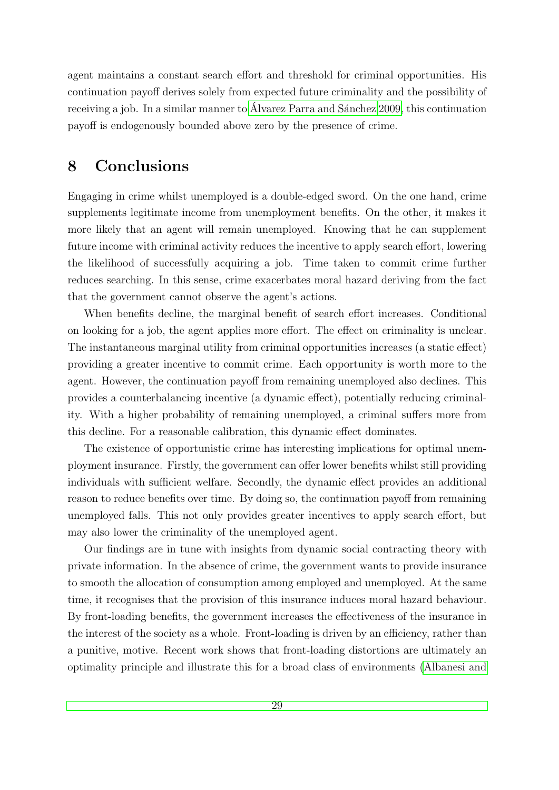agent maintains a constant search effort and threshold for criminal opportunities. His continuation payoff derives solely from expected future criminality and the possibility of receiving a job. In a similar manner to Álvarez Parra and Sánchez 2009, this continuation payoff is endogenously bounded above zero by the presence of crime.

### <span id="page-29-0"></span>8 Conclusions

Engaging in crime whilst unemployed is a double-edged sword. On the one hand, crime supplements legitimate income from unemployment benefits. On the other, it makes it more likely that an agent will remain unemployed. Knowing that he can supplement future income with criminal activity reduces the incentive to apply search effort, lowering the likelihood of successfully acquiring a job. Time taken to commit crime further reduces searching. In this sense, crime exacerbates moral hazard deriving from the fact that the government cannot observe the agent's actions.

When benefits decline, the marginal benefit of search effort increases. Conditional on looking for a job, the agent applies more effort. The effect on criminality is unclear. The instantaneous marginal utility from criminal opportunities increases (a static effect) providing a greater incentive to commit crime. Each opportunity is worth more to the agent. However, the continuation payoff from remaining unemployed also declines. This provides a counterbalancing incentive (a dynamic effect), potentially reducing criminality. With a higher probability of remaining unemployed, a criminal suffers more from this decline. For a reasonable calibration, this dynamic effect dominates.

The existence of opportunistic crime has interesting implications for optimal unemployment insurance. Firstly, the government can offer lower benefits whilst still providing individuals with sufficient welfare. Secondly, the dynamic effect provides an additional reason to reduce benefits over time. By doing so, the continuation payoff from remaining unemployed falls. This not only provides greater incentives to apply search effort, but may also lower the criminality of the unemployed agent.

Our findings are in tune with insights from dynamic social contracting theory with private information. In the absence of crime, the government wants to provide insurance to smooth the allocation of consumption among employed and unemployed. At the same time, it recognises that the provision of this insurance induces moral hazard behaviour. By front-loading benefits, the government increases the effectiveness of the insurance in the interest of the society as a whole. Front-loading is driven by an efficiency, rather than a punitive, motive. Recent work shows that front-loading distortions are ultimately an optimality principle and illustrate this for a broad class of environments [\(Albanesi and](#page-35-2)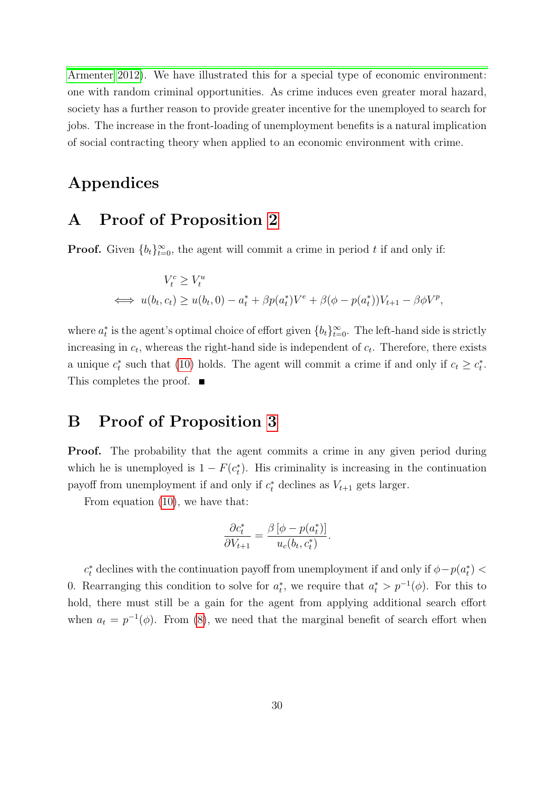[Armenter 2012\)](#page-35-2). We have illustrated this for a special type of economic environment: one with random criminal opportunities. As crime induces even greater moral hazard, society has a further reason to provide greater incentive for the unemployed to search for jobs. The increase in the front-loading of unemployment benefits is a natural implication of social contracting theory when applied to an economic environment with crime.

### Appendices

### <span id="page-30-0"></span>A Proof of Proposition [2](#page-10-2)

**Proof.** Given  ${b_t}_{t=0}^{\infty}$ , the agent will commit a crime in period t if and only if:

$$
V_t^c \ge V_t^u
$$
  
\n
$$
\iff u(b_t, c_t) \ge u(b_t, 0) - a_t^* + \beta p(a_t^*) V^e + \beta(\phi - p(a_t^*)) V_{t+1} - \beta \phi V^p,
$$

where  $a_t^*$  is the agent's optimal choice of effort given  ${b_t}_{t=0}^{\infty}$ . The left-hand side is strictly increasing in  $c_t$ , whereas the right-hand side is independent of  $c_t$ . Therefore, there exists a unique  $c_t^*$  such that [\(10\)](#page-10-0) holds. The agent will commit a crime if and only if  $c_t \geq c_t^*$ . This completes the proof. ■

### <span id="page-30-1"></span>B Proof of Proposition [3](#page-10-1)

**Proof.** The probability that the agent commits a crime in any given period during which he is unemployed is  $1 - F(c_t^*)$ . His criminality is increasing in the continuation payoff from unemployment if and only if  $c_t^*$  declines as  $V_{t+1}$  gets larger.

From equation [\(10\)](#page-10-0), we have that:

$$
\frac{\partial c_t^*}{\partial V_{t+1}} = \frac{\beta \left[ \phi - p(a_t^*) \right]}{u_c(b_t, c_t^*)}.
$$

 $c_t^*$  declines with the continuation payoff from unemployment if and only if  $\phi - p(a_t^*)$ 0. Rearranging this condition to solve for  $a_t^*$ , we require that  $a_t^* > p^{-1}(\phi)$ . For this to hold, there must still be a gain for the agent from applying additional search effort when  $a_t = p^{-1}(\phi)$ . From [\(8\)](#page-9-0), we need that the marginal benefit of search effort when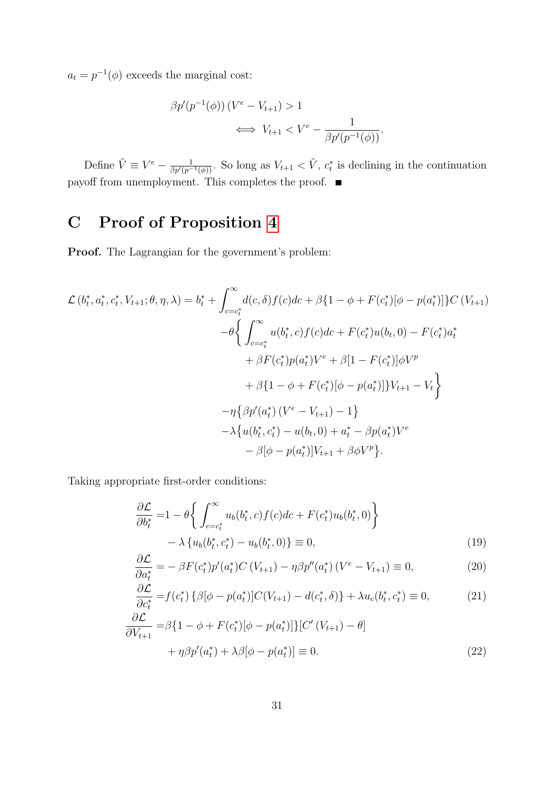$a_t = p^{-1}(\phi)$  exceeds the marginal cost:

$$
\beta p'(p^{-1}(\phi)) (V^e - V_{t+1}) > 1
$$
  

$$
\iff V_{t+1} < V^e - \frac{1}{\beta p'(p^{-1}(\phi))}.
$$

Define  $\tilde{V} \equiv V^e - \frac{1}{\beta p'(p^{-1}(\phi))}$ . So long as  $V_{t+1} < \tilde{V}$ ,  $c_t^*$  is declining in the continuation payoff from unemployment. This completes the proof.  $\blacksquare$ 

## <span id="page-31-0"></span>C Proof of Proposition [4](#page-16-0)

Proof. The Lagrangian for the government's problem:

$$
\mathcal{L}(b_t^*, a_t^*, c_t^*, V_{t+1}; \theta, \eta, \lambda) = b_t^* + \int_{c=c_t^*}^{\infty} d(c, \delta) f(c) dc + \beta \{1 - \phi + F(c_t^*)[\phi - p(a_t^*)] \} C (V_{t+1})
$$
  
\n
$$
-\theta \left\{ \int_{c=c_t^*}^{\infty} u(b_t^*, c) f(c) dc + F(c_t^*) u(b_t, 0) - F(c_t^*) a_t^*
$$
  
\n
$$
+ \beta F(c_t^*) p(a_t^*) V^e + \beta [1 - F(c_t^*)] \phi V^p
$$
  
\n
$$
+ \beta \{1 - \phi + F(c_t^*)[\phi - p(a_t^*)] \} V_{t+1} - V_t \right\}
$$
  
\n
$$
- \eta \{\beta p'(a_t^*) (V^e - V_{t+1}) - 1 \}
$$
  
\n
$$
- \lambda \{u(b_t^*, c_t^*) - u(b_t, 0) + a_t^* - \beta p(a_t^*) V^e
$$
  
\n
$$
- \beta [\phi - p(a_t^*)] V_{t+1} + \beta \phi V^p \}.
$$

Taking appropriate first-order conditions:

$$
\frac{\partial \mathcal{L}}{\partial b_t^*} = 1 - \theta \left\{ \int_{c=c_t^*}^{\infty} u_b(b_t^*, c) f(c) dc + F(c_t^*) u_b(b_t^*, 0) \right\} \n- \lambda \left\{ u_b(b_t^*, c_t^*) - u_b(b_t^*, 0) \right\} \equiv 0,
$$
\n(19)

<span id="page-31-3"></span><span id="page-31-2"></span><span id="page-31-1"></span>
$$
\frac{\partial \mathcal{L}}{\partial a_t^*} = -\beta F(c_t^*) p'(a_t^*) C\left(V_{t+1}\right) - \eta \beta p''(a_t^*) \left(V^e - V_{t+1}\right) \equiv 0,\tag{20}
$$

$$
\frac{\partial \mathcal{L}}{\partial c_t^*} = f(c_t^*) \left\{ \beta[\phi - p(a_t^*)] C(V_{t+1}) - d(c_t^*, \delta) \right\} + \lambda u_c(b_t^*, c_t^*) \equiv 0, \tag{21}
$$

$$
\frac{\partial \mathcal{L}}{\partial V_{t+1}} = \beta \{ 1 - \phi + F(c_t^*)[\phi - p(a_t^*)] \} [C'(V_{t+1}) - \theta] \n+ \eta \beta p'(a_t^*) + \lambda \beta [\phi - p(a_t^*)] \equiv 0.
$$
\n(22)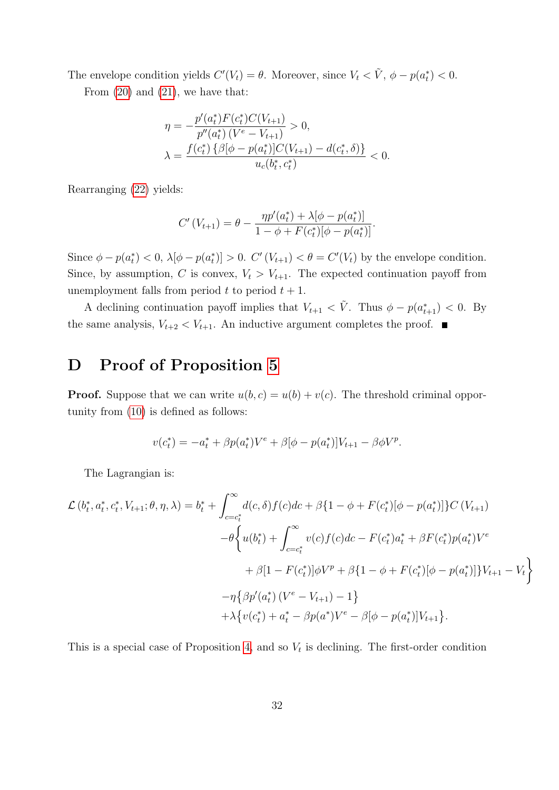The envelope condition yields  $C'(V_t) = \theta$ . Moreover, since  $V_t < \tilde{V}$ ,  $\phi - p(a_t^*) < 0$ .

From  $(20)$  and  $(21)$ , we have that:

$$
\eta = -\frac{p'(a_t^*)F(c_t^*)C(V_{t+1})}{p''(a_t^*)\ (V^e - V_{t+1})} > 0,
$$
  

$$
\lambda = \frac{f(c_t^*)\{\beta[\phi - p(a_t^*)]C(V_{t+1}) - d(c_t^*, \delta)\}}{u_c(b_t^*, c_t^*)} < 0.
$$

Rearranging [\(22\)](#page-31-3) yields:

$$
C'(V_{t+1}) = \theta - \frac{\eta p'(a_t^*) + \lambda[\phi - p(a_t^*)]}{1 - \phi + F(c_t^*)[\phi - p(a_t^*)]}.
$$

Since  $\phi - p(a_t^*) < 0$ ,  $\lambda[\phi - p(a_t^*)] > 0$ . C' $(V_{t+1}) < \theta = C'(V_t)$  by the envelope condition. Since, by assumption, C is convex,  $V_t > V_{t+1}$ . The expected continuation payoff from unemployment falls from period t to period  $t + 1$ .

A declining continuation payoff implies that  $V_{t+1} < \tilde{V}$ . Thus  $\phi - p(a_{t+1}^*) < 0$ . By the same analysis,  $V_{t+2} < V_{t+1}$ . An inductive argument completes the proof.  $\blacksquare$ 

### <span id="page-32-0"></span>D Proof of Proposition [5](#page-17-3)

**Proof.** Suppose that we can write  $u(b, c) = u(b) + v(c)$ . The threshold criminal opportunity from [\(10\)](#page-10-0) is defined as follows:

$$
v(c_t^*) = -a_t^* + \beta p(a_t^*)V^e + \beta[\phi - p(a_t^*)]V_{t+1} - \beta \phi V^p.
$$

The Lagrangian is:

$$
\mathcal{L}(b_t^*, a_t^*, c_t^*, V_{t+1}; \theta, \eta, \lambda) = b_t^* + \int_{c=c_t^*}^{\infty} d(c, \delta) f(c) dc + \beta \{1 - \phi + F(c_t^*)[\phi - p(a_t^*)] \} C(V_{t+1})
$$
  
\n
$$
-\theta \left\{ u(b_t^*) + \int_{c=c_t^*}^{\infty} v(c) f(c) dc - F(c_t^*) a_t^* + \beta F(c_t^*) p(a_t^*) V^e
$$
  
\n
$$
+ \beta [1 - F(c_t^*)] \phi V^p + \beta \{1 - \phi + F(c_t^*)[\phi - p(a_t^*)] \} V_{t+1} - V_t \right\}
$$
  
\n
$$
-\eta \left\{ \beta p'(a_t^*) (V^e - V_{t+1}) - 1 \right\}
$$
  
\n
$$
+ \lambda \{ v(c_t^*) + a_t^* - \beta p(a^*) V^e - \beta [\phi - p(a_t^*)] V_{t+1} \}.
$$

This is a special case of Proposition [4,](#page-16-0) and so  $V_t$  is declining. The first-order condition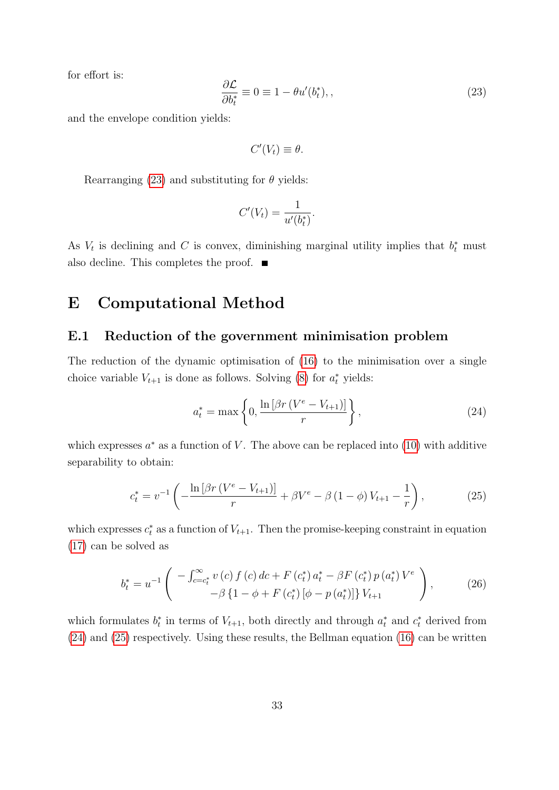for effort is:

<span id="page-33-1"></span>
$$
\frac{\partial \mathcal{L}}{\partial b_t^*} \equiv 0 \equiv 1 - \theta u'(b_t^*), \qquad (23)
$$

and the envelope condition yields:

$$
C'(V_t) \equiv \theta.
$$

Rearranging [\(23\)](#page-33-1) and substituting for  $\theta$  yields:

$$
C'(V_t) = \frac{1}{u'(b_t^*)}.
$$

As  $V_t$  is declining and C is convex, diminishing marginal utility implies that  $b_t^*$  must also decline. This completes the proof.  $\blacksquare$ 

### <span id="page-33-0"></span>E Computational Method

#### E.1 Reduction of the government minimisation problem

The reduction of the dynamic optimisation of [\(16\)](#page-15-0) to the minimisation over a single choice variable  $V_{t+1}$  is done as follows. Solving [\(8\)](#page-9-0) for  $a_t^*$  yields:

<span id="page-33-2"></span>
$$
a_t^* = \max\left\{0, \frac{\ln\left[\beta r \left(V^e - V_{t+1}\right)\right]}{r}\right\},\tag{24}
$$

which expresses  $a^*$  as a function of V. The above can be replaced into [\(10\)](#page-10-0) with additive separability to obtain:

<span id="page-33-3"></span>
$$
c_{t}^{*} = v^{-1} \left( -\frac{\ln \left[ \beta r \left( V^{e} - V_{t+1} \right) \right]}{r} + \beta V^{e} - \beta \left( 1 - \phi \right) V_{t+1} - \frac{1}{r} \right), \tag{25}
$$

which expresses  $c_t^*$  as a function of  $V_{t+1}$ . Then the promise-keeping constraint in equation [\(17\)](#page-15-1) can be solved as

<span id="page-33-4"></span>
$$
b_{t}^{*} = u^{-1} \left( \begin{array}{c} -\int_{c=c_{t}^{*}}^{\infty} v(c) f(c) dc + F(c_{t}^{*}) a_{t}^{*} - \beta F(c_{t}^{*}) p(a_{t}^{*}) V^{e} \\ -\beta \left\{ 1 - \phi + F(c_{t}^{*}) \left[ \phi - p(a_{t}^{*}) \right] \right\} V_{t+1} \end{array} \right), \tag{26}
$$

which formulates  $b_t^*$  in terms of  $V_{t+1}$ , both directly and through  $a_t^*$  and  $c_t^*$  derived from [\(24\)](#page-33-2) and [\(25\)](#page-33-3) respectively. Using these results, the Bellman equation [\(16\)](#page-15-0) can be written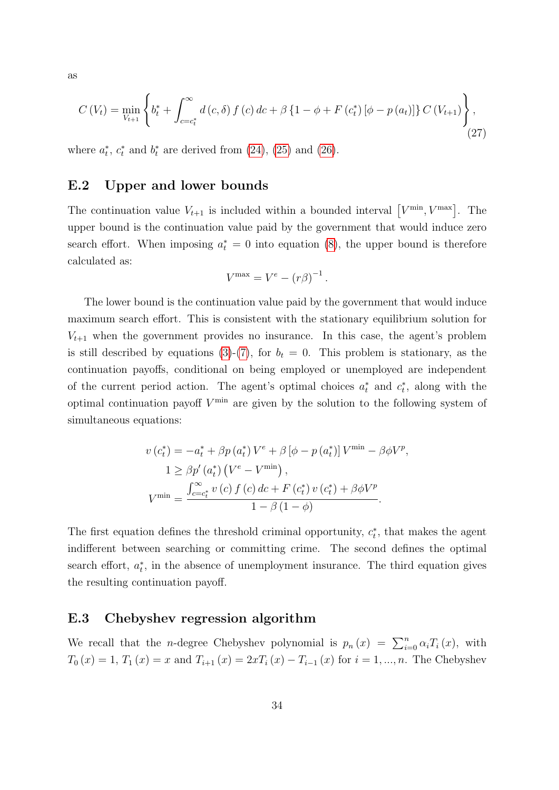as

<span id="page-34-0"></span>
$$
C(V_t) = \min_{V_{t+1}} \left\{ b_t^* + \int_{c=c_t^*}^{\infty} d(c,\delta) f(c) \, dc + \beta \left\{ 1 - \phi + F(c_t^*) \left[ \phi - p(a_t) \right] \right\} C(V_{t+1}) \right\},\tag{27}
$$

where  $a_t^*$ ,  $c_t^*$  and  $b_t^*$  are derived from [\(24\)](#page-33-2), [\(25\)](#page-33-3) and [\(26\)](#page-33-4).

#### E.2 Upper and lower bounds

The continuation value  $V_{t+1}$  is included within a bounded interval  $[V^{\min}, V^{\max}]$ . The upper bound is the continuation value paid by the government that would induce zero search effort. When imposing  $a_t^* = 0$  into equation [\(8\)](#page-9-0), the upper bound is therefore calculated as:

$$
V^{\max} = V^e - (r\beta)^{-1}.
$$

The lower bound is the continuation value paid by the government that would induce maximum search effort. This is consistent with the stationary equilibrium solution for  $V_{t+1}$  when the government provides no insurance. In this case, the agent's problem is still described by equations [\(3\)](#page-8-2)-[\(7\)](#page-8-5), for  $b_t = 0$ . This problem is stationary, as the continuation payoffs, conditional on being employed or unemployed are independent of the current period action. The agent's optimal choices  $a_t^*$  and  $c_t^*$ , along with the optimal continuation payoff  $V^{\min}$  are given by the solution to the following system of simultaneous equations:

$$
v(c_t^*) = -a_t^* + \beta p(a_t^*) V^e + \beta [\phi - p(a_t^*)] V^{\min} - \beta \phi V^p,
$$
  
\n
$$
1 \ge \beta p'(a_t^*) (V^e - V^{\min}),
$$
  
\n
$$
V^{\min} = \frac{\int_{c=c_t^*}^{\infty} v(c) f(c) dc + F(c_t^*) v(c_t^*) + \beta \phi V^p}{1 - \beta (1 - \phi)}.
$$

The first equation defines the threshold criminal opportunity,  $c_t^*$ , that makes the agent indifferent between searching or committing crime. The second defines the optimal search effort,  $a_t^*$ , in the absence of unemployment insurance. The third equation gives the resulting continuation payoff.

#### E.3 Chebyshev regression algorithm

We recall that the *n*-degree Chebyshev polynomial is  $p_n(x) = \sum_{i=0}^n \alpha_i T_i(x)$ , with  $T_0(x) = 1, T_1(x) = x$  and  $T_{i+1}(x) = 2xT_i(x) - T_{i-1}(x)$  for  $i = 1, ..., n$ . The Chebyshev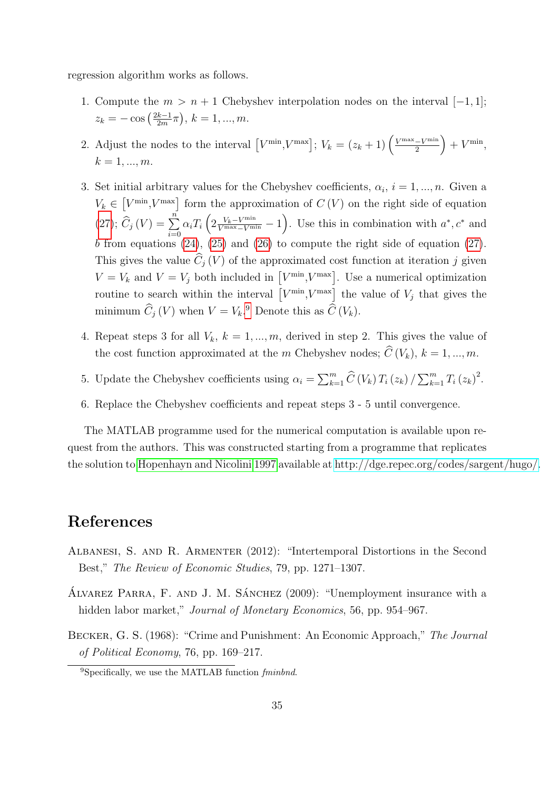regression algorithm works as follows.

- 1. Compute the  $m > n + 1$  Chebyshev interpolation nodes on the interval  $[-1, 1]$ ;  $z_k = -\cos\left(\frac{2k-1}{2m}\right)$  $\frac{k-1}{2m}\pi$ ,  $k = 1, ..., m$ .
- 2. Adjust the nodes to the interval  $[V^{\min}, V^{\max}]$ ;  $V_k = (z_k + 1) \left(\frac{V^{\max} V^{\min}}{2}\right)$  $\frac{-V^{\min}}{2}\Big) + V^{\min},$  $k = 1, ..., m$ .
- 3. Set initial arbitrary values for the Chebyshev coefficients,  $\alpha_i$ ,  $i = 1, ..., n$ . Given a  $V_k \in [V^{\min}, V^{\max}]$  form the approximation of  $C(V)$  on the right side of equation  $(27); \ \hat{C}_j(V) = \sum_{i=0}^{n}$  $(27); \ \hat{C}_j(V) = \sum_{i=0}^{n}$  $\alpha_i T_i \left(2 \frac{V_k - V^{\min}}{V^{\max} - V^{\min}} - 1\right)$ . Use this in combination with  $a^*, c^*$  and b from equations  $(24)$ ,  $(25)$  and  $(26)$  to compute the right side of equation  $(27)$ . This gives the value  $\widehat{C}_j(V)$  of the approximated cost function at iteration j given  $V = V_k$  and  $V = V_j$  both included in  $[V^{\min}, V^{\max}]$ . Use a numerical optimization routine to search within the interval  $[V^{\min}, V^{\max}]$  the value of  $V_j$  that gives the minimum  $\hat{C}_j(V)$  when  $V = V_k$ .<sup>[9](#page-35-3)</sup> Denote this as  $\hat{C}(V_k)$ .
- 4. Repeat steps 3 for all  $V_k$ ,  $k = 1, ..., m$ , derived in step 2. This gives the value of the cost function approximated at the m Chebyshev nodes;  $\hat{C}(V_k)$ ,  $k = 1, ..., m$ .
- 5. Update the Chebyshev coefficients using  $\alpha_i = \sum_{k=1}^m \widehat{C}(V_k) T_i(z_k) / \sum_{k=1}^m T_i(z_k)^2$ .
- 6. Replace the Chebyshev coefficients and repeat steps 3 5 until convergence.

The MATLAB programme used for the numerical computation is available upon request from the authors. This was constructed starting from a programme that replicates the solution to [Hopenhayn and Nicolini 1997](#page-37-7) available at [http://dge.repec.org/codes/sargent/hugo/.](http://dge.repec.org/codes/sargent/hugo/)

### References

- <span id="page-35-2"></span>Albanesi, S. and R. Armenter (2012): "Intertemporal Distortions in the Second Best," The Review of Economic Studies, 79, pp. 1271–1307.
- <span id="page-35-0"></span>ALVAREZ PARRA, F. AND J. M. SÁNCHEZ  $(2009)$ : "Unemployment insurance with a hidden labor market," *Journal of Monetary Economics*, 56, pp. 954–967.
- <span id="page-35-1"></span>Becker, G. S. (1968): "Crime and Punishment: An Economic Approach," The Journal of Political Economy, 76, pp. 169–217.

<span id="page-35-3"></span> $9$ Specifically, we use the MATLAB function *fminbnd*.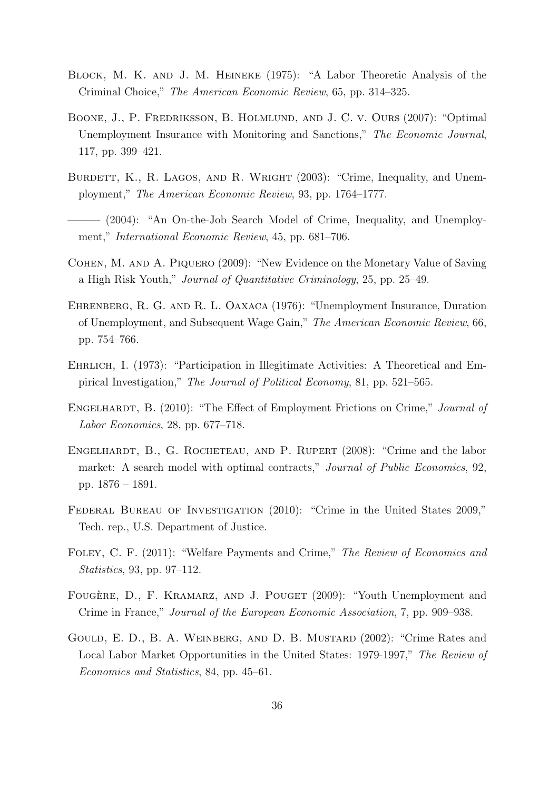- <span id="page-36-4"></span>Block, M. K. and J. M. Heineke (1975): "A Labor Theoretic Analysis of the Criminal Choice," The American Economic Review, 65, pp. 314–325.
- <span id="page-36-10"></span>Boone, J., P. Fredriksson, B. Holmlund, and J. C. v. Ours (2007): "Optimal Unemployment Insurance with Monitoring and Sanctions," The Economic Journal, 117, pp. 399–421.
- <span id="page-36-0"></span>BURDETT, K., R. LAGOS, AND R. WRIGHT (2003): "Crime, Inequality, and Unemployment," The American Economic Review, 93, pp. 1764–1777.
- <span id="page-36-1"></span> $(2004)$ : "An On-the-Job Search Model of Crime, Inequality, and Unemployment," International Economic Review, 45, pp. 681–706.
- <span id="page-36-11"></span>Cohen, M. and A. Piquero (2009): "New Evidence on the Monetary Value of Saving a High Risk Youth," Journal of Quantitative Criminology, 25, pp. 25–49.
- <span id="page-36-8"></span>Ehrenberg, R. G. and R. L. Oaxaca (1976): "Unemployment Insurance, Duration of Unemployment, and Subsequent Wage Gain," The American Economic Review, 66, pp. 754–766.
- <span id="page-36-2"></span>EHRLICH, I. (1973): "Participation in Illegitimate Activities: A Theoretical and Empirical Investigation," The Journal of Political Economy, 81, pp. 521–565.
- <span id="page-36-7"></span>ENGELHARDT, B. (2010): "The Effect of Employment Frictions on Crime," Journal of Labor Economics, 28, pp. 677–718.
- <span id="page-36-3"></span>ENGELHARDT, B., G. ROCHETEAU, AND P. RUPERT (2008): "Crime and the labor market: A search model with optimal contracts," Journal of Public Economics, 92, pp. 1876 – 1891.
- <span id="page-36-12"></span>Federal Bureau of Investigation (2010): "Crime in the United States 2009," Tech. rep., U.S. Department of Justice.
- <span id="page-36-9"></span>Foley, C. F. (2011): "Welfare Payments and Crime," The Review of Economics and Statistics, 93, pp. 97–112.
- <span id="page-36-6"></span>FOUGÈRE, D., F. KRAMARZ, AND J. POUGET  $(2009)$ : "Youth Unemployment and Crime in France," Journal of the European Economic Association, 7, pp. 909–938.
- <span id="page-36-5"></span>Gould, E. D., B. A. Weinberg, and D. B. Mustard (2002): "Crime Rates and Local Labor Market Opportunities in the United States: 1979-1997," The Review of Economics and Statistics, 84, pp. 45–61.